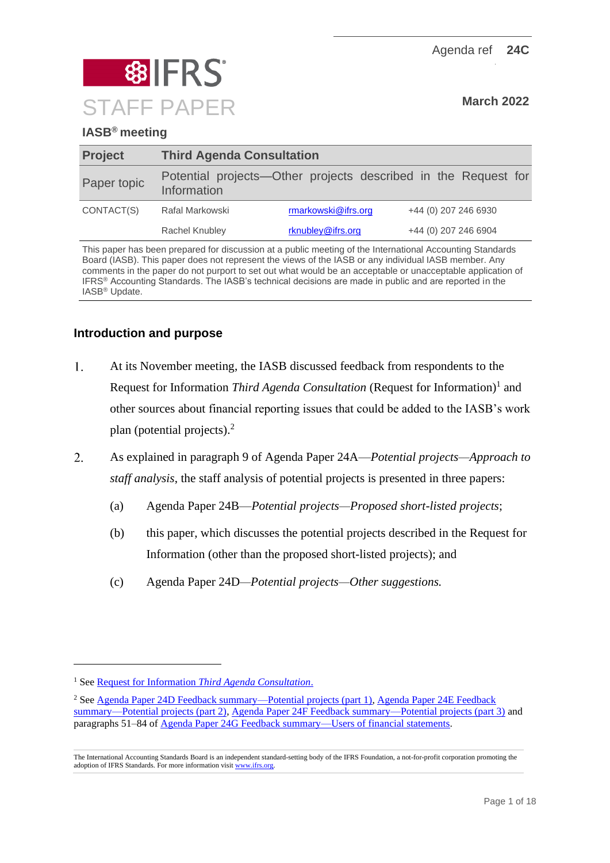Agenda ref **24C**



## **IASB® meeting**

| <b>Project</b> | <b>Third Agenda Consultation</b> |                     |                                                                |  |  |  |  |
|----------------|----------------------------------|---------------------|----------------------------------------------------------------|--|--|--|--|
| Paper topic    | Information                      |                     | Potential projects—Other projects described in the Request for |  |  |  |  |
| CONTACT(S)     | Rafal Markowski                  | rmarkowski@ifrs.org | +44 (0) 207 246 6930                                           |  |  |  |  |
|                | Rachel Knubley                   | rknubley@ifrs.org   | +44 (0) 207 246 6904                                           |  |  |  |  |

This paper has been prepared for discussion at a public meeting of the International Accounting Standards Board (IASB). This paper does not represent the views of the IASB or any individual IASB member. Any comments in the paper do not purport to set out what would be an acceptable or unacceptable application of IFRS® Accounting Standards. The IASB's technical decisions are made in public and are reported in the IASB® Update.

## **Introduction and purpose**

- $1<sub>1</sub>$ At its November meeting, the IASB discussed feedback from respondents to the Request for Information *Third Agenda Consultation* (Request for Information)<sup>1</sup> and other sources about financial reporting issues that could be added to the IASB's work plan (potential projects). 2
- $\overline{2}$ . As explained in paragraph 9 of Agenda Paper 24A—*Potential projects—Approach to staff analysis*, the staff analysis of potential projects is presented in three papers:
	- (a) Agenda Paper 24B—*Potential projects—Proposed short-listed projects*;
	- (b) this paper, which discusses the potential projects described in the Request for Information (other than the proposed short-listed projects); and
	- (c) Agenda Paper 24D*—Potential projects—Other suggestions.*

<sup>1</sup> See Request for Information *[Third Agenda Consultation](https://www.ifrs.org/content/dam/ifrs/project/third-agenda-consultation/rfi-third-agenda-consultation-2021.pdf)*.

<sup>2</sup> Se[e Agenda Paper 24D Feedback summary—Potential projects \(part 1\),](https://www.ifrs.org/content/dam/ifrs/meetings/2021/november/iasb/ap24d-third-agenda-consultation-feedback-summary-potential-projects-part-1.pdf) [Agenda Paper 24E Feedback](https://www.ifrs.org/content/dam/ifrs/meetings/2021/november/iasb/ap24e-third-agenda-consultation-feedback-summary-potential-projects-part-2.pdf)  [summary—Potential projects \(part 2\),](https://www.ifrs.org/content/dam/ifrs/meetings/2021/november/iasb/ap24e-third-agenda-consultation-feedback-summary-potential-projects-part-2.pdf) [Agenda Paper 24F Feedback summary—Potential projects \(part 3\)](https://www.ifrs.org/content/dam/ifrs/meetings/2021/november/iasb/ap24f-third-agenda-consultation-feedback-summary-potential-projects-part-3.pdf) and paragraphs 51–84 o[f Agenda Paper 24G Feedback summary—Users of financial statements.](https://www.ifrs.org/content/dam/ifrs/meetings/2021/november/iasb/ap24g-third-agenda-consultation-feedback-summary-users-of-financial-statements.pdf)

The International Accounting Standards Board is an independent standard-setting body of the IFRS Foundation, a not-for-profit corporation promoting the adoption of IFRS Standards. For more information visi[t www.ifrs.org.](http://www.ifrs.org/)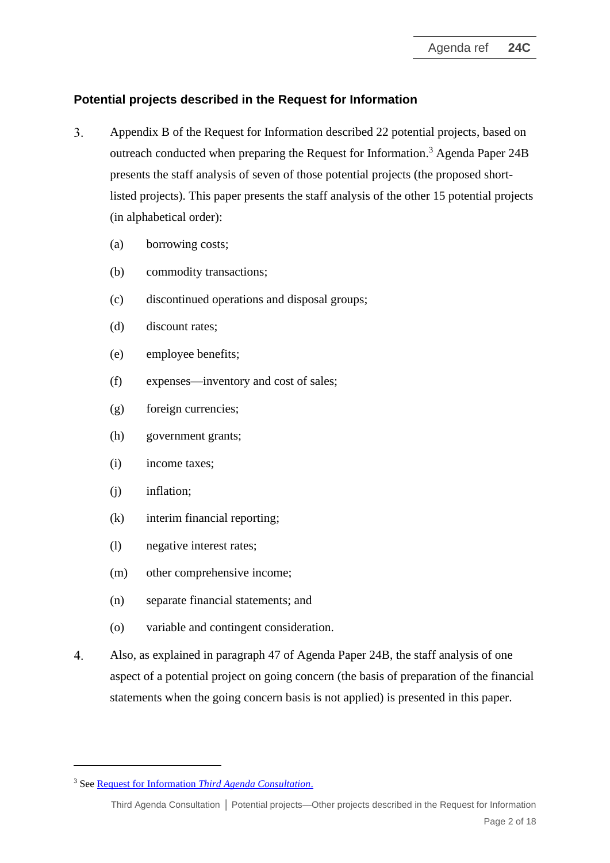## **Potential projects described in the Request for Information**

- $3.$ Appendix B of the Request for Information described 22 potential projects, based on outreach conducted when preparing the Request for Information. <sup>3</sup> Agenda Paper 24B presents the staff analysis of seven of those potential projects (the proposed shortlisted projects). This paper presents the staff analysis of the other 15 potential projects (in alphabetical order):
	- (a) borrowing costs;
	- (b) commodity transactions;
	- (c) discontinued operations and disposal groups;
	- (d) discount rates;
	- (e) employee benefits;
	- (f) expenses—inventory and cost of sales;
	- (g) foreign currencies;
	- (h) government grants;
	- (i) income taxes;
	- (j) inflation;
	- (k) interim financial reporting;
	- (l) negative interest rates;
	- (m) other comprehensive income;
	- (n) separate financial statements; and
	- (o) variable and contingent consideration.
- $4.$ Also, as explained in paragraph 47 of Agenda Paper 24B, the staff analysis of one aspect of a potential project on going concern (the basis of preparation of the financial statements when the going concern basis is not applied) is presented in this paper.

<sup>3</sup> See Request for Information *[Third Agenda Consultation](https://www.ifrs.org/content/dam/ifrs/project/third-agenda-consultation/rfi-third-agenda-consultation-2021.pdf)*.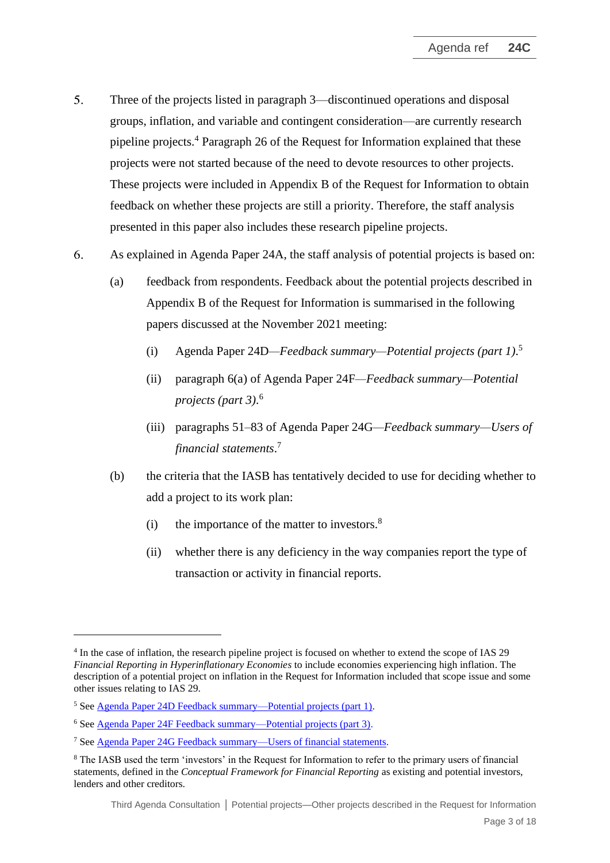- $5<sub>1</sub>$ Three of the projects listed in paragraph 3—discontinued operations and disposal groups, inflation, and variable and contingent consideration—are currently research pipeline projects.<sup>4</sup> Paragraph 26 of the Request for Information explained that these projects were not started because of the need to devote resources to other projects. These projects were included in Appendix B of the Request for Information to obtain feedback on whether these projects are still a priority. Therefore, the staff analysis presented in this paper also includes these research pipeline projects.
- 6. As explained in Agenda Paper 24A, the staff analysis of potential projects is based on:
	- (a) feedback from respondents. Feedback about the potential projects described in Appendix B of the Request for Information is summarised in the following papers discussed at the November 2021 meeting:
		- (i) Agenda Paper 24D*—Feedback summary—Potential projects (part 1)*. 5
		- (ii) paragraph 6(a) of Agenda Paper 24F*—Feedback summary—Potential projects (part 3)*. 6
		- (iii) paragraphs 51–83 of Agenda Paper 24G*—Feedback summary—Users of financial statements*. 7
	- (b) the criteria that the IASB has tentatively decided to use for deciding whether to add a project to its work plan:
		- (i) the importance of the matter to investors. $8$
		- (ii) whether there is any deficiency in the way companies report the type of transaction or activity in financial reports.

<sup>&</sup>lt;sup>4</sup> In the case of inflation, the research pipeline project is focused on whether to extend the scope of IAS 29 *Financial Reporting in Hyperinflationary Economies* to include economies experiencing high inflation. The description of a potential project on inflation in the Request for Information included that scope issue and some other issues relating to IAS 29.

<sup>5</sup> See Agenda Paper 24D [Feedback summary—Potential projects \(part 1\).](https://www.ifrs.org/content/dam/ifrs/meetings/2021/november/iasb/ap24d-third-agenda-consultation-feedback-summary-potential-projects-part-1.pdf)

<sup>6</sup> Se[e Agenda Paper 24F Feedback summary—Potential projects \(part 3\).](https://www.ifrs.org/content/dam/ifrs/meetings/2021/november/iasb/ap24f-third-agenda-consultation-feedback-summary-potential-projects-part-3.pdf)

<sup>7</sup> Se[e Agenda Paper 24G Feedback summary—Users of financial statements.](https://www.ifrs.org/content/dam/ifrs/meetings/2021/november/iasb/ap24g-third-agenda-consultation-feedback-summary-users-of-financial-statements.pdf)

<sup>8</sup> The IASB used the term 'investors' in the Request for Information to refer to the primary users of financial statements, defined in the *Conceptual Framework for Financial Reporting* as existing and potential investors, lenders and other creditors.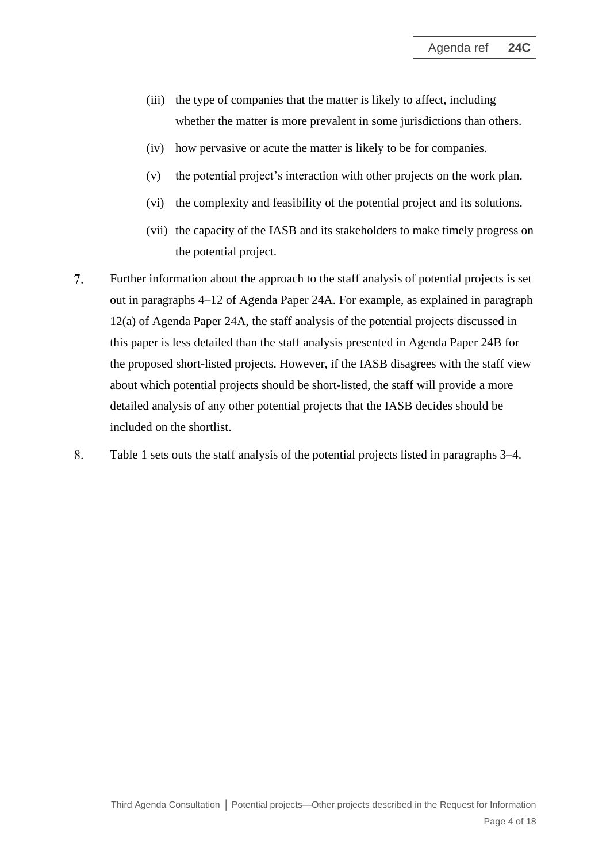- (iii) the type of companies that the matter is likely to affect, including whether the matter is more prevalent in some jurisdictions than others.
- (iv) how pervasive or acute the matter is likely to be for companies.
- (v) the potential project's interaction with other projects on the work plan.
- (vi) the complexity and feasibility of the potential project and its solutions.
- (vii) the capacity of the IASB and its stakeholders to make timely progress on the potential project.
- $7<sup>1</sup>$ Further information about the approach to the staff analysis of potential projects is set out in paragraphs 4–12 of Agenda Paper 24A. For example, as explained in paragraph 12(a) of Agenda Paper 24A, the staff analysis of the potential projects discussed in this paper is less detailed than the staff analysis presented in Agenda Paper 24B for the proposed short-listed projects. However, if the IASB disagrees with the staff view about which potential projects should be short-listed, the staff will provide a more detailed analysis of any other potential projects that the IASB decides should be included on the shortlist.
- 8. Table 1 sets outs the staff analysis of the potential projects listed in paragraphs 3–4.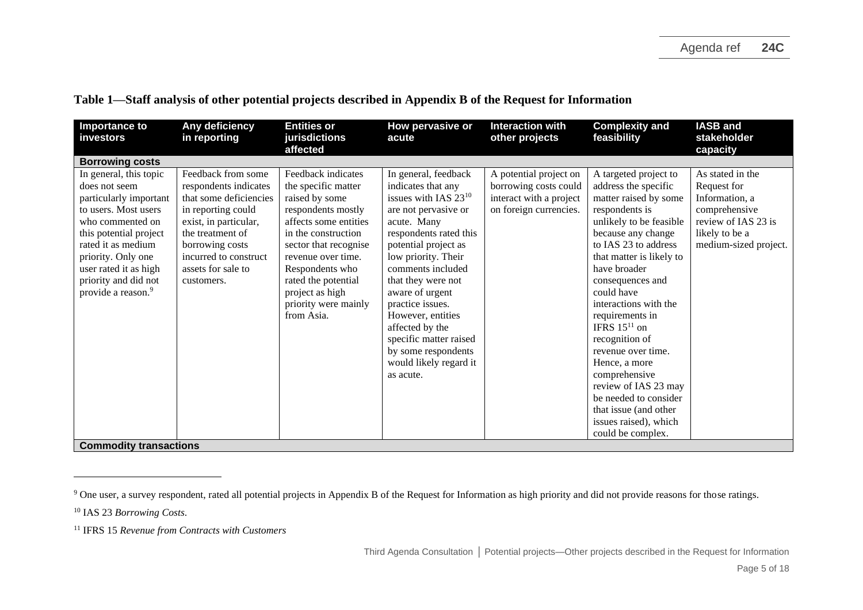| <b>Importance to</b><br>investors                                                                                                                                                                                                                                                                       | Any deficiency<br>in reporting                                                                                                                                                                                           | <b>Entities or</b><br>jurisdictions<br>affected                                                                                                                                                                                                                                     | How pervasive or<br>acute                                                                                                                                                                                                                                                                                                                                                                                 | <b>Interaction with</b><br>other projects                                                            | <b>Complexity and</b><br>feasibility                                                                                                                                                                                                                                                                                                                                                                                                                                                                               | <b>IASB and</b><br>stakeholder<br>capacity                                                                                           |
|---------------------------------------------------------------------------------------------------------------------------------------------------------------------------------------------------------------------------------------------------------------------------------------------------------|--------------------------------------------------------------------------------------------------------------------------------------------------------------------------------------------------------------------------|-------------------------------------------------------------------------------------------------------------------------------------------------------------------------------------------------------------------------------------------------------------------------------------|-----------------------------------------------------------------------------------------------------------------------------------------------------------------------------------------------------------------------------------------------------------------------------------------------------------------------------------------------------------------------------------------------------------|------------------------------------------------------------------------------------------------------|--------------------------------------------------------------------------------------------------------------------------------------------------------------------------------------------------------------------------------------------------------------------------------------------------------------------------------------------------------------------------------------------------------------------------------------------------------------------------------------------------------------------|--------------------------------------------------------------------------------------------------------------------------------------|
| <b>Borrowing costs</b>                                                                                                                                                                                                                                                                                  |                                                                                                                                                                                                                          |                                                                                                                                                                                                                                                                                     |                                                                                                                                                                                                                                                                                                                                                                                                           |                                                                                                      |                                                                                                                                                                                                                                                                                                                                                                                                                                                                                                                    |                                                                                                                                      |
| In general, this topic<br>does not seem<br>particularly important<br>to users. Most users<br>who commented on<br>this potential project<br>rated it as medium<br>priority. Only one<br>user rated it as high<br>priority and did not<br>provide a reason. <sup>9</sup><br><b>Commodity transactions</b> | Feedback from some<br>respondents indicates<br>that some deficiencies<br>in reporting could<br>exist, in particular,<br>the treatment of<br>borrowing costs<br>incurred to construct<br>assets for sale to<br>customers. | Feedback indicates<br>the specific matter<br>raised by some<br>respondents mostly<br>affects some entities<br>in the construction<br>sector that recognise<br>revenue over time.<br>Respondents who<br>rated the potential<br>project as high<br>priority were mainly<br>from Asia. | In general, feedback<br>indicates that any<br>issues with IAS $23^{10}$<br>are not pervasive or<br>acute. Many<br>respondents rated this<br>potential project as<br>low priority. Their<br>comments included<br>that they were not<br>aware of urgent<br>practice issues.<br>However, entities<br>affected by the<br>specific matter raised<br>by some respondents<br>would likely regard it<br>as acute. | A potential project on<br>borrowing costs could<br>interact with a project<br>on foreign currencies. | A targeted project to<br>address the specific<br>matter raised by some<br>respondents is<br>unlikely to be feasible<br>because any change<br>to IAS 23 to address<br>that matter is likely to<br>have broader<br>consequences and<br>could have<br>interactions with the<br>requirements in<br>IFRS $15^{11}$ on<br>recognition of<br>revenue over time.<br>Hence, a more<br>comprehensive<br>review of IAS 23 may<br>be needed to consider<br>that issue (and other<br>issues raised), which<br>could be complex. | As stated in the<br>Request for<br>Information, a<br>comprehensive<br>review of IAS 23 is<br>likely to be a<br>medium-sized project. |

**Table 1—Staff analysis of other potential projects described in Appendix B of the Request for Information**

<sup>&</sup>lt;sup>9</sup> One user, a survey respondent, rated all potential projects in Appendix B of the Request for Information as high priority and did not provide reasons for those ratings.

<sup>10</sup> IAS 23 *Borrowing Costs*.

<sup>11</sup> IFRS 15 *Revenue from Contracts with Customers*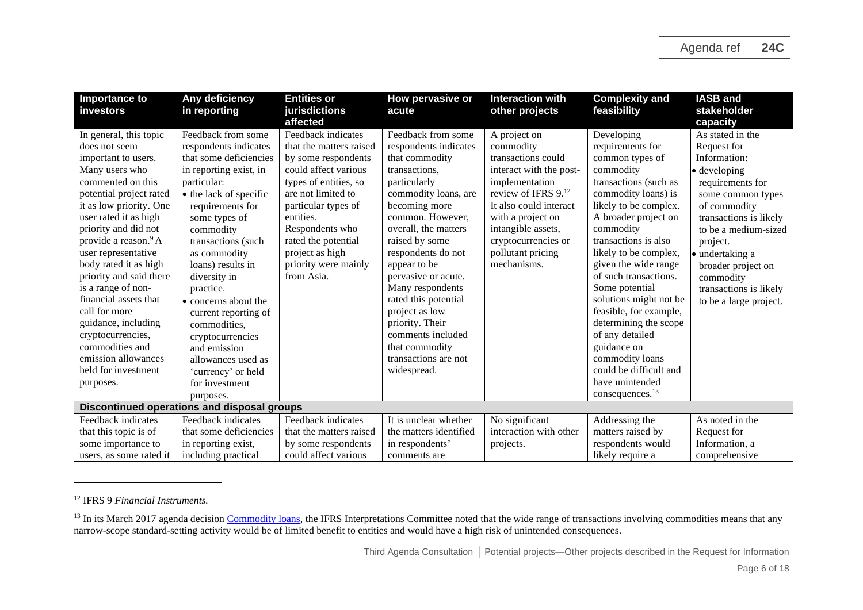| <b>Importance to</b><br><i>investors</i>                                                                                                                                                                                                                                                                                                                                                                                                                                                                              | Any deficiency<br>in reporting                                                                                                                                                                                                                                                                                                                                                                                                                                    | <b>Entities or</b><br>jurisdictions                                                                                                                                                                                                                                                | How pervasive or<br>acute                                                                                                                                                                                                                                                                                                                                                                                                         | <b>Interaction with</b><br>other projects                                                                                                                                                                                                           | <b>Complexity and</b><br>feasibility                                                                                                                                                                                                                                                                                                                                                                                                                                                                           | <b>IASB and</b><br>stakeholder                                                                                                                                                                                                                                                                           |
|-----------------------------------------------------------------------------------------------------------------------------------------------------------------------------------------------------------------------------------------------------------------------------------------------------------------------------------------------------------------------------------------------------------------------------------------------------------------------------------------------------------------------|-------------------------------------------------------------------------------------------------------------------------------------------------------------------------------------------------------------------------------------------------------------------------------------------------------------------------------------------------------------------------------------------------------------------------------------------------------------------|------------------------------------------------------------------------------------------------------------------------------------------------------------------------------------------------------------------------------------------------------------------------------------|-----------------------------------------------------------------------------------------------------------------------------------------------------------------------------------------------------------------------------------------------------------------------------------------------------------------------------------------------------------------------------------------------------------------------------------|-----------------------------------------------------------------------------------------------------------------------------------------------------------------------------------------------------------------------------------------------------|----------------------------------------------------------------------------------------------------------------------------------------------------------------------------------------------------------------------------------------------------------------------------------------------------------------------------------------------------------------------------------------------------------------------------------------------------------------------------------------------------------------|----------------------------------------------------------------------------------------------------------------------------------------------------------------------------------------------------------------------------------------------------------------------------------------------------------|
|                                                                                                                                                                                                                                                                                                                                                                                                                                                                                                                       |                                                                                                                                                                                                                                                                                                                                                                                                                                                                   | affected                                                                                                                                                                                                                                                                           |                                                                                                                                                                                                                                                                                                                                                                                                                                   |                                                                                                                                                                                                                                                     |                                                                                                                                                                                                                                                                                                                                                                                                                                                                                                                | capacity                                                                                                                                                                                                                                                                                                 |
| In general, this topic<br>does not seem<br>important to users.<br>Many users who<br>commented on this<br>potential project rated<br>it as low priority. One<br>user rated it as high<br>priority and did not<br>provide a reason. <sup>9</sup> A<br>user representative<br>body rated it as high<br>priority and said there<br>is a range of non-<br>financial assets that<br>call for more<br>guidance, including<br>cryptocurrencies,<br>commodities and<br>emission allowances<br>held for investment<br>purposes. | Feedback from some<br>respondents indicates<br>that some deficiencies<br>in reporting exist, in<br>particular:<br>• the lack of specific<br>requirements for<br>some types of<br>commodity<br>transactions (such<br>as commodity<br>loans) results in<br>diversity in<br>practice.<br>• concerns about the<br>current reporting of<br>commodities,<br>cryptocurrencies<br>and emission<br>allowances used as<br>'currency' or held<br>for investment<br>purposes. | Feedback indicates<br>that the matters raised<br>by some respondents<br>could affect various<br>types of entities, so<br>are not limited to<br>particular types of<br>entities.<br>Respondents who<br>rated the potential<br>project as high<br>priority were mainly<br>from Asia. | Feedback from some<br>respondents indicates<br>that commodity<br>transactions.<br>particularly<br>commodity loans, are<br>becoming more<br>common. However,<br>overall, the matters<br>raised by some<br>respondents do not<br>appear to be<br>pervasive or acute.<br>Many respondents<br>rated this potential<br>project as low<br>priority. Their<br>comments included<br>that commodity<br>transactions are not<br>widespread. | A project on<br>commodity<br>transactions could<br>interact with the post-<br>implementation<br>review of IFRS 9.12<br>It also could interact<br>with a project on<br>intangible assets,<br>cryptocurrencies or<br>pollutant pricing<br>mechanisms. | Developing<br>requirements for<br>common types of<br>commodity<br>transactions (such as<br>commodity loans) is<br>likely to be complex.<br>A broader project on<br>commodity<br>transactions is also<br>likely to be complex,<br>given the wide range<br>of such transactions.<br>Some potential<br>solutions might not be<br>feasible, for example,<br>determining the scope<br>of any detailed<br>guidance on<br>commodity loans<br>could be difficult and<br>have unintended<br>consequences. <sup>13</sup> | As stated in the<br>Request for<br>Information:<br>$\bullet$ developing<br>requirements for<br>some common types<br>of commodity<br>transactions is likely<br>to be a medium-sized<br>project.<br>• undertaking a<br>broader project on<br>commodity<br>transactions is likely<br>to be a large project. |
|                                                                                                                                                                                                                                                                                                                                                                                                                                                                                                                       | Discontinued operations and disposal groups                                                                                                                                                                                                                                                                                                                                                                                                                       |                                                                                                                                                                                                                                                                                    |                                                                                                                                                                                                                                                                                                                                                                                                                                   |                                                                                                                                                                                                                                                     |                                                                                                                                                                                                                                                                                                                                                                                                                                                                                                                |                                                                                                                                                                                                                                                                                                          |
| Feedback indicates                                                                                                                                                                                                                                                                                                                                                                                                                                                                                                    | Feedback indicates                                                                                                                                                                                                                                                                                                                                                                                                                                                | Feedback indicates                                                                                                                                                                                                                                                                 | It is unclear whether                                                                                                                                                                                                                                                                                                                                                                                                             | No significant                                                                                                                                                                                                                                      | Addressing the                                                                                                                                                                                                                                                                                                                                                                                                                                                                                                 | As noted in the                                                                                                                                                                                                                                                                                          |
| that this topic is of                                                                                                                                                                                                                                                                                                                                                                                                                                                                                                 | that some deficiencies                                                                                                                                                                                                                                                                                                                                                                                                                                            | that the matters raised                                                                                                                                                                                                                                                            | the matters identified                                                                                                                                                                                                                                                                                                                                                                                                            | interaction with other                                                                                                                                                                                                                              | matters raised by                                                                                                                                                                                                                                                                                                                                                                                                                                                                                              | Request for                                                                                                                                                                                                                                                                                              |
| some importance to                                                                                                                                                                                                                                                                                                                                                                                                                                                                                                    | in reporting exist,                                                                                                                                                                                                                                                                                                                                                                                                                                               | by some respondents                                                                                                                                                                                                                                                                | in respondents'                                                                                                                                                                                                                                                                                                                                                                                                                   | projects.                                                                                                                                                                                                                                           | respondents would                                                                                                                                                                                                                                                                                                                                                                                                                                                                                              | Information, a                                                                                                                                                                                                                                                                                           |
| users, as some rated it                                                                                                                                                                                                                                                                                                                                                                                                                                                                                               | including practical                                                                                                                                                                                                                                                                                                                                                                                                                                               | could affect various                                                                                                                                                                                                                                                               | comments are                                                                                                                                                                                                                                                                                                                                                                                                                      |                                                                                                                                                                                                                                                     | likely require a                                                                                                                                                                                                                                                                                                                                                                                                                                                                                               | comprehensive                                                                                                                                                                                                                                                                                            |

<sup>12</sup> IFRS 9 *Financial Instruments.*

<sup>&</sup>lt;sup>13</sup> In its March 2017 agenda decision [Commodity loans,](https://www.ifrs.org/content/dam/ifrs/supporting-implementation/agenda-decisions/2017/ias-1-ias-2-ias-8-ias-39-ifrs-9-commodity-loans-march-2017.pdf) the IFRS Interpretations Committee noted that the wide range of transactions involving commodities means that any narrow-scope standard-setting activity would be of limited benefit to entities and would have a high risk of unintended consequences.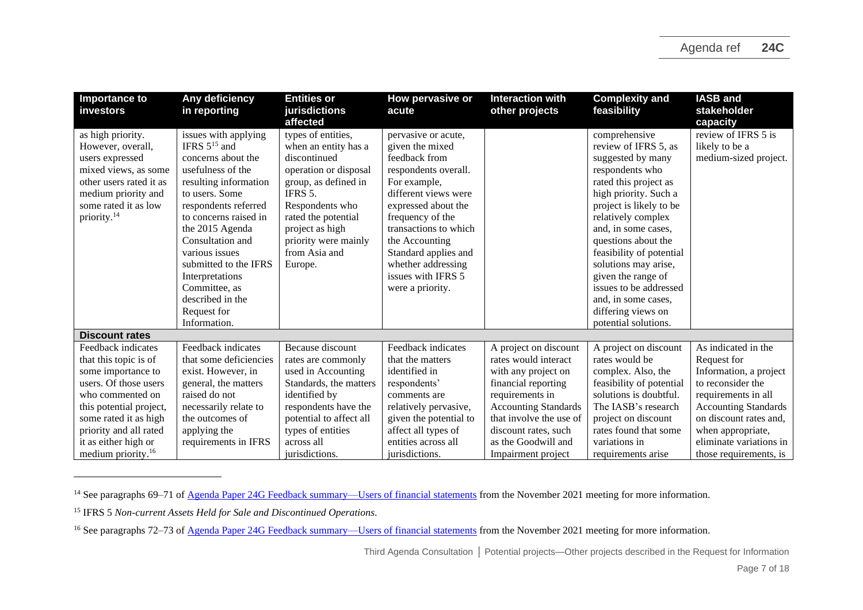| <b>Importance to</b><br>investors                                                                                                                                                      | Any deficiency<br>in reporting                                                                                                                                                                                                                                                                                                                            | <b>Entities or</b><br>jurisdictions<br>affected                                                                                                                                                                                         | How pervasive or<br>acute                                                                                                                                                                                                                                                                             | <b>Interaction with</b><br>other projects                                                                                                      | <b>Complexity and</b><br>feasibility                                                                                                                                                                                                                                                                                                                                                                    | <b>IASB and</b><br>stakeholder<br>capacity                                                                                                             |
|----------------------------------------------------------------------------------------------------------------------------------------------------------------------------------------|-----------------------------------------------------------------------------------------------------------------------------------------------------------------------------------------------------------------------------------------------------------------------------------------------------------------------------------------------------------|-----------------------------------------------------------------------------------------------------------------------------------------------------------------------------------------------------------------------------------------|-------------------------------------------------------------------------------------------------------------------------------------------------------------------------------------------------------------------------------------------------------------------------------------------------------|------------------------------------------------------------------------------------------------------------------------------------------------|---------------------------------------------------------------------------------------------------------------------------------------------------------------------------------------------------------------------------------------------------------------------------------------------------------------------------------------------------------------------------------------------------------|--------------------------------------------------------------------------------------------------------------------------------------------------------|
| as high priority.<br>However, overall,<br>users expressed<br>mixed views, as some<br>other users rated it as<br>medium priority and<br>some rated it as low<br>priority. <sup>14</sup> | issues with applying<br>IFRS $5^{15}$ and<br>concerns about the<br>usefulness of the<br>resulting information<br>to users. Some<br>respondents referred<br>to concerns raised in<br>the 2015 Agenda<br>Consultation and<br>various issues<br>submitted to the IFRS<br>Interpretations<br>Committee, as<br>described in the<br>Request for<br>Information. | types of entities,<br>when an entity has a<br>discontinued<br>operation or disposal<br>group, as defined in<br>IFRS 5.<br>Respondents who<br>rated the potential<br>project as high<br>priority were mainly<br>from Asia and<br>Europe. | pervasive or acute,<br>given the mixed<br>feedback from<br>respondents overall.<br>For example,<br>different views were<br>expressed about the<br>frequency of the<br>transactions to which<br>the Accounting<br>Standard applies and<br>whether addressing<br>issues with IFRS 5<br>were a priority. |                                                                                                                                                | comprehensive<br>review of IFRS 5, as<br>suggested by many<br>respondents who<br>rated this project as<br>high priority. Such a<br>project is likely to be<br>relatively complex<br>and, in some cases,<br>questions about the<br>feasibility of potential<br>solutions may arise,<br>given the range of<br>issues to be addressed<br>and, in some cases,<br>differing views on<br>potential solutions. | review of IFRS 5 is<br>likely to be a<br>medium-sized project.                                                                                         |
| <b>Discount rates</b>                                                                                                                                                                  |                                                                                                                                                                                                                                                                                                                                                           |                                                                                                                                                                                                                                         |                                                                                                                                                                                                                                                                                                       |                                                                                                                                                |                                                                                                                                                                                                                                                                                                                                                                                                         |                                                                                                                                                        |
| Feedback indicates<br>that this topic is of<br>some importance to<br>users. Of those users                                                                                             | Feedback indicates<br>that some deficiencies<br>exist. However, in<br>general, the matters                                                                                                                                                                                                                                                                | Because discount<br>rates are commonly<br>used in Accounting<br>Standards, the matters                                                                                                                                                  | Feedback indicates<br>that the matters<br>identified in<br>respondents'                                                                                                                                                                                                                               | A project on discount<br>rates would interact<br>with any project on<br>financial reporting                                                    | A project on discount<br>rates would be<br>complex. Also, the<br>feasibility of potential                                                                                                                                                                                                                                                                                                               | As indicated in the<br>Request for<br>Information, a project<br>to reconsider the                                                                      |
| who commented on<br>this potential project,<br>some rated it as high<br>priority and all rated<br>it as either high or<br>medium priority. <sup>16</sup>                               | raised do not<br>necessarily relate to<br>the outcomes of<br>applying the<br>requirements in IFRS                                                                                                                                                                                                                                                         | identified by<br>respondents have the<br>potential to affect all<br>types of entities<br>across all<br>jurisdictions.                                                                                                                   | comments are<br>relatively pervasive,<br>given the potential to<br>affect all types of<br>entities across all<br>jurisdictions.                                                                                                                                                                       | requirements in<br><b>Accounting Standards</b><br>that involve the use of<br>discount rates, such<br>as the Goodwill and<br>Impairment project | solutions is doubtful.<br>The IASB's research<br>project on discount<br>rates found that some<br>variations in<br>requirements arise                                                                                                                                                                                                                                                                    | requirements in all<br><b>Accounting Standards</b><br>on discount rates and,<br>when appropriate,<br>eliminate variations in<br>those requirements, is |

<sup>&</sup>lt;sup>14</sup> See paragraphs 69–71 of <u>Agenda Paper 24G Feedback summary—Users of financial statements</u> from the November 2021 meeting for more information.

<sup>15</sup> IFRS 5 *Non-current Assets Held for Sale and Discontinued Operations.*

<sup>&</sup>lt;sup>16</sup> See paragraphs 72–73 o[f Agenda Paper 24G Feedback summary—Users of financial statements](https://www.ifrs.org/content/dam/ifrs/meetings/2021/november/iasb/ap24g-third-agenda-consultation-feedback-summary-users-of-financial-statements.pdf) from the November 2021 meeting for more information.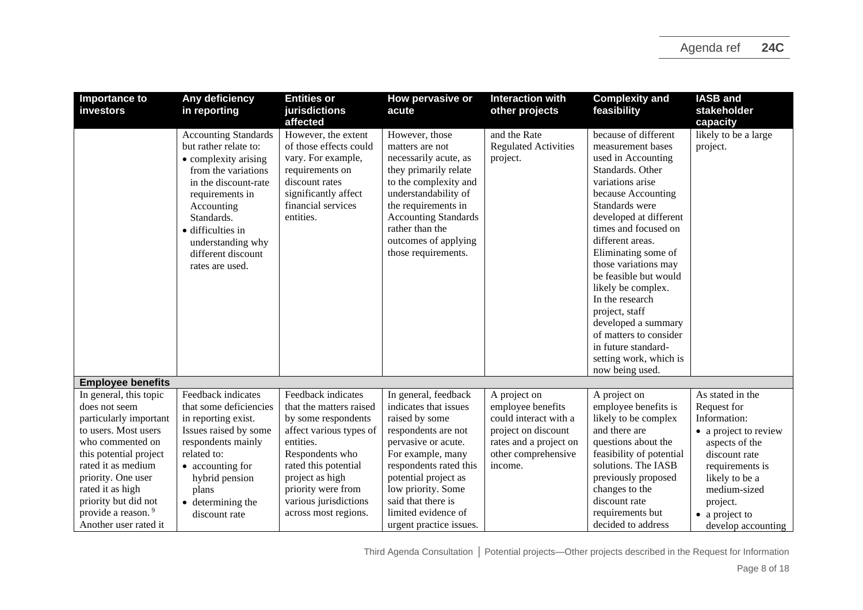| <b>Importance to</b>           | Any deficiency                              | <b>Entities or</b>                | How pervasive or                               | <b>Interaction with</b>     | <b>Complexity and</b>                     | <b>IASB</b> and       |
|--------------------------------|---------------------------------------------|-----------------------------------|------------------------------------------------|-----------------------------|-------------------------------------------|-----------------------|
| investors                      | in reporting                                | jurisdictions                     | acute                                          | other projects              | feasibility                               | stakeholder           |
|                                |                                             | affected                          |                                                |                             |                                           | capacity              |
|                                | <b>Accounting Standards</b>                 | However, the extent               | However, those                                 | and the Rate                | because of different                      | likely to be a large  |
|                                | but rather relate to:                       | of those effects could            | matters are not                                | <b>Regulated Activities</b> | measurement bases                         | project.              |
|                                | • complexity arising                        | vary. For example,                | necessarily acute, as                          | project.                    | used in Accounting<br>Standards. Other    |                       |
|                                | from the variations<br>in the discount-rate | requirements on<br>discount rates | they primarily relate<br>to the complexity and |                             | variations arise                          |                       |
|                                | requirements in                             | significantly affect              | understandability of                           |                             | because Accounting                        |                       |
|                                | Accounting                                  | financial services                | the requirements in                            |                             | Standards were                            |                       |
|                                | Standards.                                  | entities.                         | <b>Accounting Standards</b>                    |                             | developed at different                    |                       |
|                                | · difficulties in                           |                                   | rather than the                                |                             | times and focused on                      |                       |
|                                | understanding why                           |                                   | outcomes of applying                           |                             | different areas.                          |                       |
|                                | different discount                          |                                   | those requirements.                            |                             | Eliminating some of                       |                       |
|                                | rates are used.                             |                                   |                                                |                             | those variations may                      |                       |
|                                |                                             |                                   |                                                |                             | be feasible but would                     |                       |
|                                |                                             |                                   |                                                |                             | likely be complex.                        |                       |
|                                |                                             |                                   |                                                |                             | In the research                           |                       |
|                                |                                             |                                   |                                                |                             | project, staff                            |                       |
|                                |                                             |                                   |                                                |                             | developed a summary                       |                       |
|                                |                                             |                                   |                                                |                             | of matters to consider                    |                       |
|                                |                                             |                                   |                                                |                             | in future standard-                       |                       |
|                                |                                             |                                   |                                                |                             | setting work, which is<br>now being used. |                       |
| <b>Employee benefits</b>       |                                             |                                   |                                                |                             |                                           |                       |
| In general, this topic         | Feedback indicates                          | Feedback indicates                | In general, feedback                           | A project on                | A project on                              | As stated in the      |
| does not seem                  | that some deficiencies                      | that the matters raised           | indicates that issues                          | employee benefits           | employee benefits is                      | Request for           |
| particularly important         | in reporting exist.                         | by some respondents               | raised by some                                 | could interact with a       | likely to be complex                      | Information:          |
| to users. Most users           | Issues raised by some                       | affect various types of           | respondents are not                            | project on discount         | and there are                             | • a project to review |
| who commented on               | respondents mainly                          | entities.                         | pervasive or acute.                            | rates and a project on      | questions about the                       | aspects of the        |
| this potential project         | related to:                                 | Respondents who                   | For example, many                              | other comprehensive         | feasibility of potential                  | discount rate         |
| rated it as medium             | • accounting for                            | rated this potential              | respondents rated this                         | income.                     | solutions. The IASB                       | requirements is       |
| priority. One user             | hybrid pension                              | project as high                   | potential project as                           |                             | previously proposed                       | likely to be a        |
| rated it as high               | plans                                       | priority were from                | low priority. Some                             |                             | changes to the                            | medium-sized          |
| priority but did not           | $\bullet$ determining the                   | various jurisdictions             | said that there is                             |                             | discount rate                             | project.              |
| provide a reason. <sup>9</sup> | discount rate                               | across most regions.              | limited evidence of                            |                             | requirements but                          | • a project to        |
| Another user rated it          |                                             |                                   | urgent practice issues.                        |                             | decided to address                        | develop accounting    |

Third Agenda Consultation **│** Potential projects—Other projects described in the Request for Information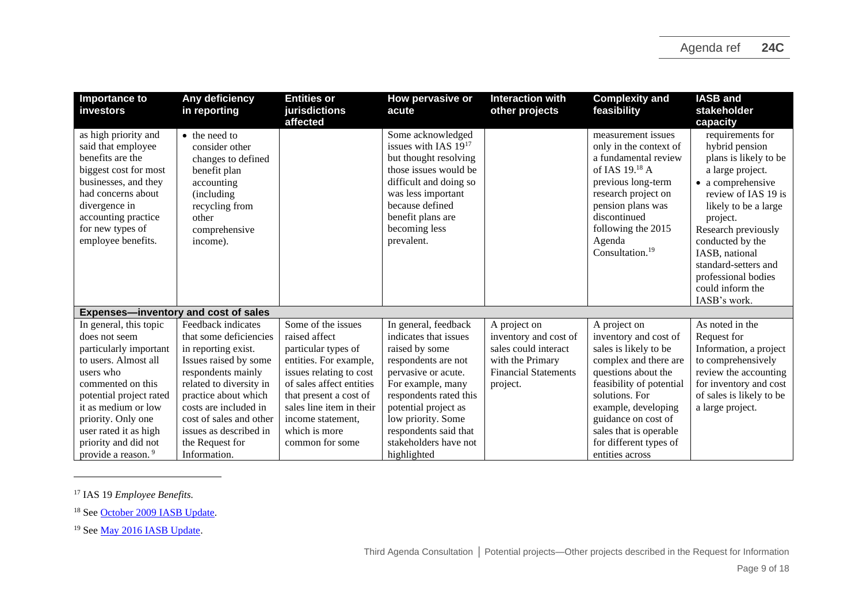| Importance to<br>investors                                                                                                                                                                                                                                                             | Any deficiency<br>in reporting                                                                                                                                                                                                                                                         | <b>Entities or</b><br>jurisdictions<br>affected                                                                                                                                                                                                            | How pervasive or<br>acute                                                                                                                                                                                                                                                   | <b>Interaction with</b><br>other projects                                                                                    | <b>Complexity and</b><br>feasibility                                                                                                                                                                                                                                              | <b>IASB and</b><br>stakeholder<br>capacity                                                                                                                                                                                                                                                                      |
|----------------------------------------------------------------------------------------------------------------------------------------------------------------------------------------------------------------------------------------------------------------------------------------|----------------------------------------------------------------------------------------------------------------------------------------------------------------------------------------------------------------------------------------------------------------------------------------|------------------------------------------------------------------------------------------------------------------------------------------------------------------------------------------------------------------------------------------------------------|-----------------------------------------------------------------------------------------------------------------------------------------------------------------------------------------------------------------------------------------------------------------------------|------------------------------------------------------------------------------------------------------------------------------|-----------------------------------------------------------------------------------------------------------------------------------------------------------------------------------------------------------------------------------------------------------------------------------|-----------------------------------------------------------------------------------------------------------------------------------------------------------------------------------------------------------------------------------------------------------------------------------------------------------------|
| as high priority and<br>said that employee<br>benefits are the<br>biggest cost for most<br>businesses, and they<br>had concerns about<br>divergence in<br>accounting practice<br>for new types of<br>employee benefits.                                                                | • the need to<br>consider other<br>changes to defined<br>benefit plan<br>accounting<br>(including)<br>recycling from<br>other<br>comprehensive<br>income).                                                                                                                             |                                                                                                                                                                                                                                                            | Some acknowledged<br>issues with IAS $19^{17}$<br>but thought resolving<br>those issues would be<br>difficult and doing so<br>was less important<br>because defined<br>benefit plans are<br>becoming less<br>prevalent.                                                     |                                                                                                                              | measurement issues<br>only in the context of<br>a fundamental review<br>of IAS 19. <sup>18</sup> A<br>previous long-term<br>research project on<br>pension plans was<br>discontinued<br>following the 2015<br>Agenda<br>Consultation. <sup>19</sup>                               | requirements for<br>hybrid pension<br>plans is likely to be<br>a large project.<br>• a comprehensive<br>review of IAS 19 is<br>likely to be a large<br>project.<br>Research previously<br>conducted by the<br>IASB, national<br>standard-setters and<br>professional bodies<br>could inform the<br>IASB's work. |
| <b>Expenses-inventory and cost of sales</b>                                                                                                                                                                                                                                            |                                                                                                                                                                                                                                                                                        |                                                                                                                                                                                                                                                            |                                                                                                                                                                                                                                                                             |                                                                                                                              |                                                                                                                                                                                                                                                                                   |                                                                                                                                                                                                                                                                                                                 |
| In general, this topic<br>does not seem<br>particularly important<br>to users. Almost all<br>users who<br>commented on this<br>potential project rated<br>it as medium or low<br>priority. Only one<br>user rated it as high<br>priority and did not<br>provide a reason. <sup>9</sup> | Feedback indicates<br>that some deficiencies<br>in reporting exist.<br>Issues raised by some<br>respondents mainly<br>related to diversity in<br>practice about which<br>costs are included in<br>cost of sales and other<br>issues as described in<br>the Request for<br>Information. | Some of the issues<br>raised affect<br>particular types of<br>entities. For example,<br>issues relating to cost<br>of sales affect entities<br>that present a cost of<br>sales line item in their<br>income statement.<br>which is more<br>common for some | In general, feedback<br>indicates that issues<br>raised by some<br>respondents are not<br>pervasive or acute.<br>For example, many<br>respondents rated this<br>potential project as<br>low priority. Some<br>respondents said that<br>stakeholders have not<br>highlighted | A project on<br>inventory and cost of<br>sales could interact<br>with the Primary<br><b>Financial Statements</b><br>project. | A project on<br>inventory and cost of<br>sales is likely to be<br>complex and there are<br>questions about the<br>feasibility of potential<br>solutions. For<br>example, developing<br>guidance on cost of<br>sales that is operable<br>for different types of<br>entities across | As noted in the<br>Request for<br>Information, a project<br>to comprehensively<br>review the accounting<br>for inventory and cost<br>of sales is likely to be<br>a large project.                                                                                                                               |

<sup>17</sup> IAS 19 *Employee Benefits.*

<sup>18</sup> See [October 2009 IASB Update.](https://cdn.ifrs.org/content/dam/ifrs/news/updates/iasb/2009/iasbupdateoctober.pdf)

<sup>19</sup> See [May 2016 IASB Update.](https://cdn.ifrs.org/content/dam/ifrs/news/updates/iasb/2016/iasb-update-may-2016.pdf)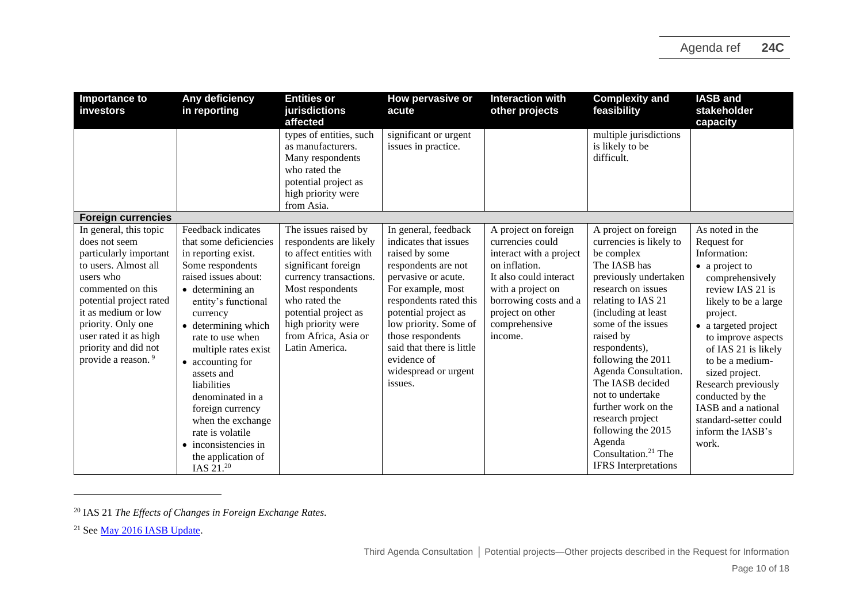| Importance to<br>investors                                                                                                                                                                                                                                                             | Any deficiency<br>in reporting                                                                                                                                                                                                                                                                                                                                                                                                       | <b>Entities or</b><br>jurisdictions<br>affected                                                                                                                                                                                                         | How pervasive or<br>acute                                                                                                                                                                                                                                                                                         | <b>Interaction with</b><br>other projects                                                                                                                                                                    | <b>Complexity and</b><br>feasibility                                                                                                                                                                                                                                                                                                                                                                                                                              | <b>IASB</b> and<br>stakeholder<br>capacity                                                                                                                                                                                                                                                                                                                                     |
|----------------------------------------------------------------------------------------------------------------------------------------------------------------------------------------------------------------------------------------------------------------------------------------|--------------------------------------------------------------------------------------------------------------------------------------------------------------------------------------------------------------------------------------------------------------------------------------------------------------------------------------------------------------------------------------------------------------------------------------|---------------------------------------------------------------------------------------------------------------------------------------------------------------------------------------------------------------------------------------------------------|-------------------------------------------------------------------------------------------------------------------------------------------------------------------------------------------------------------------------------------------------------------------------------------------------------------------|--------------------------------------------------------------------------------------------------------------------------------------------------------------------------------------------------------------|-------------------------------------------------------------------------------------------------------------------------------------------------------------------------------------------------------------------------------------------------------------------------------------------------------------------------------------------------------------------------------------------------------------------------------------------------------------------|--------------------------------------------------------------------------------------------------------------------------------------------------------------------------------------------------------------------------------------------------------------------------------------------------------------------------------------------------------------------------------|
|                                                                                                                                                                                                                                                                                        |                                                                                                                                                                                                                                                                                                                                                                                                                                      | types of entities, such<br>as manufacturers.<br>Many respondents<br>who rated the<br>potential project as<br>high priority were<br>from Asia.                                                                                                           | significant or urgent<br>issues in practice.                                                                                                                                                                                                                                                                      |                                                                                                                                                                                                              | multiple jurisdictions<br>is likely to be<br>difficult.                                                                                                                                                                                                                                                                                                                                                                                                           |                                                                                                                                                                                                                                                                                                                                                                                |
| <b>Foreign currencies</b>                                                                                                                                                                                                                                                              |                                                                                                                                                                                                                                                                                                                                                                                                                                      |                                                                                                                                                                                                                                                         |                                                                                                                                                                                                                                                                                                                   |                                                                                                                                                                                                              |                                                                                                                                                                                                                                                                                                                                                                                                                                                                   |                                                                                                                                                                                                                                                                                                                                                                                |
| In general, this topic<br>does not seem<br>particularly important<br>to users. Almost all<br>users who<br>commented on this<br>potential project rated<br>it as medium or low<br>priority. Only one<br>user rated it as high<br>priority and did not<br>provide a reason. <sup>9</sup> | Feedback indicates<br>that some deficiencies<br>in reporting exist.<br>Some respondents<br>raised issues about:<br>• determining an<br>entity's functional<br>currency<br>• determining which<br>rate to use when<br>multiple rates exist<br>• accounting for<br>assets and<br>liabilities<br>denominated in a<br>foreign currency<br>when the exchange<br>rate is volatile<br>inconsistencies in<br>the application of<br>IAS 21.20 | The issues raised by<br>respondents are likely<br>to affect entities with<br>significant foreign<br>currency transactions.<br>Most respondents<br>who rated the<br>potential project as<br>high priority were<br>from Africa, Asia or<br>Latin America. | In general, feedback<br>indicates that issues<br>raised by some<br>respondents are not<br>pervasive or acute.<br>For example, most<br>respondents rated this<br>potential project as<br>low priority. Some of<br>those respondents<br>said that there is little<br>evidence of<br>widespread or urgent<br>issues. | A project on foreign<br>currencies could<br>interact with a project<br>on inflation.<br>It also could interact<br>with a project on<br>borrowing costs and a<br>project on other<br>comprehensive<br>income. | A project on foreign<br>currencies is likely to<br>be complex<br>The IASB has<br>previously undertaken<br>research on issues<br>relating to IAS 21<br>(including at least)<br>some of the issues<br>raised by<br>respondents),<br>following the 2011<br>Agenda Consultation.<br>The IASB decided<br>not to undertake<br>further work on the<br>research project<br>following the 2015<br>Agenda<br>Consultation. <sup>21</sup> The<br><b>IFRS</b> Interpretations | As noted in the<br>Request for<br>Information:<br>• a project to<br>comprehensively<br>review IAS 21 is<br>likely to be a large<br>project.<br>• a targeted project<br>to improve aspects<br>of IAS 21 is likely<br>to be a medium-<br>sized project.<br>Research previously<br>conducted by the<br>IASB and a national<br>standard-setter could<br>inform the IASB's<br>work. |

<sup>20</sup> IAS 21 *The Effects of Changes in Foreign Exchange Rates.*

<sup>21</sup> See [May 2016 IASB Update.](https://cdn.ifrs.org/content/dam/ifrs/news/updates/iasb/2016/iasb-update-may-2016.pdf)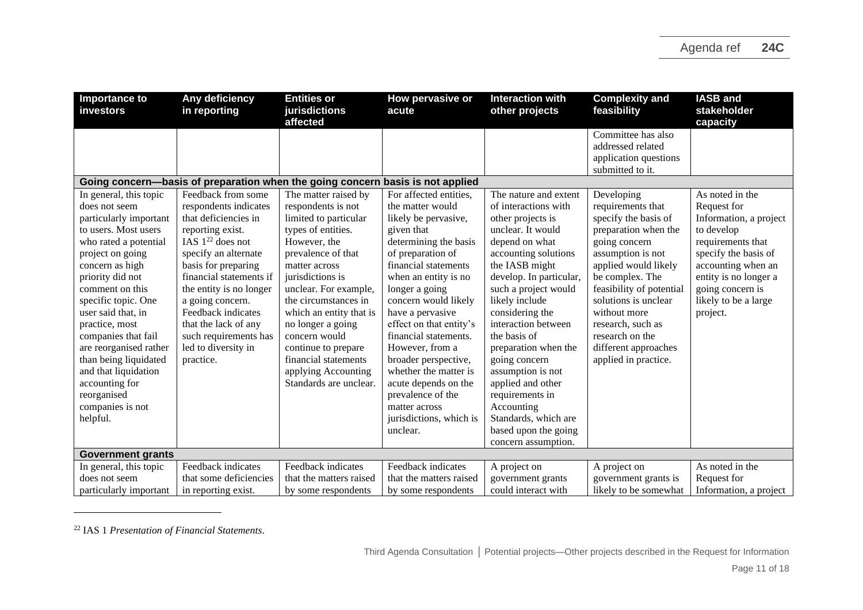| Importance to<br>investors                                                                                                                                                                                                                                                                                                                                                              | Any deficiency<br>in reporting                                                                                                                                                                                                                                                                                                 | <b>Entities or</b><br>jurisdictions<br>affected                                                                                                                                                                                                                                                                                                                | How pervasive or<br>acute                                                                                                                                                                                                                                                                                                                                                                                                                       | <b>Interaction with</b><br>other projects                                                                                                                                                                                                                                                                                                                                                             | <b>Complexity and</b><br>feasibility                                                                                                                                                                                                                                                                           | <b>IASB and</b><br>stakeholder<br>capacity                                                                                                                                                              |
|-----------------------------------------------------------------------------------------------------------------------------------------------------------------------------------------------------------------------------------------------------------------------------------------------------------------------------------------------------------------------------------------|--------------------------------------------------------------------------------------------------------------------------------------------------------------------------------------------------------------------------------------------------------------------------------------------------------------------------------|----------------------------------------------------------------------------------------------------------------------------------------------------------------------------------------------------------------------------------------------------------------------------------------------------------------------------------------------------------------|-------------------------------------------------------------------------------------------------------------------------------------------------------------------------------------------------------------------------------------------------------------------------------------------------------------------------------------------------------------------------------------------------------------------------------------------------|-------------------------------------------------------------------------------------------------------------------------------------------------------------------------------------------------------------------------------------------------------------------------------------------------------------------------------------------------------------------------------------------------------|----------------------------------------------------------------------------------------------------------------------------------------------------------------------------------------------------------------------------------------------------------------------------------------------------------------|---------------------------------------------------------------------------------------------------------------------------------------------------------------------------------------------------------|
| In general, this topic<br>does not seem                                                                                                                                                                                                                                                                                                                                                 | Feedback from some                                                                                                                                                                                                                                                                                                             | Going concern—basis of preparation when the going concern basis is not applied<br>The matter raised by                                                                                                                                                                                                                                                         | For affected entities,                                                                                                                                                                                                                                                                                                                                                                                                                          | The nature and extent<br>of interactions with                                                                                                                                                                                                                                                                                                                                                         | Committee has also<br>addressed related<br>application questions<br>submitted to it.<br>Developing                                                                                                                                                                                                             | As noted in the                                                                                                                                                                                         |
| particularly important<br>to users. Most users<br>who rated a potential<br>project on going<br>concern as high<br>priority did not<br>comment on this<br>specific topic. One<br>user said that, in<br>practice, most<br>companies that fail<br>are reorganised rather<br>than being liquidated<br>and that liquidation<br>accounting for<br>reorganised<br>companies is not<br>helpful. | respondents indicates<br>that deficiencies in<br>reporting exist.<br>IAS $1^{22}$ does not<br>specify an alternate<br>basis for preparing<br>financial statements if<br>the entity is no longer<br>a going concern.<br>Feedback indicates<br>that the lack of any<br>such requirements has<br>led to diversity in<br>practice. | respondents is not<br>limited to particular<br>types of entities.<br>However, the<br>prevalence of that<br>matter across<br>jurisdictions is<br>unclear. For example,<br>the circumstances in<br>which an entity that is<br>no longer a going<br>concern would<br>continue to prepare<br>financial statements<br>applying Accounting<br>Standards are unclear. | the matter would<br>likely be pervasive,<br>given that<br>determining the basis<br>of preparation of<br>financial statements<br>when an entity is no<br>longer a going<br>concern would likely<br>have a pervasive<br>effect on that entity's<br>financial statements.<br>However, from a<br>broader perspective,<br>whether the matter is<br>acute depends on the<br>prevalence of the<br>matter across<br>jurisdictions, which is<br>unclear. | other projects is<br>unclear. It would<br>depend on what<br>accounting solutions<br>the IASB might<br>develop. In particular,<br>such a project would<br>likely include<br>considering the<br>interaction between<br>the basis of<br>preparation when the<br>going concern<br>assumption is not<br>applied and other<br>requirements in<br>Accounting<br>Standards, which are<br>based upon the going | requirements that<br>specify the basis of<br>preparation when the<br>going concern<br>assumption is not<br>applied would likely<br>be complex. The<br>feasibility of potential<br>solutions is unclear<br>without more<br>research, such as<br>research on the<br>different approaches<br>applied in practice. | Request for<br>Information, a project<br>to develop<br>requirements that<br>specify the basis of<br>accounting when an<br>entity is no longer a<br>going concern is<br>likely to be a large<br>project. |
| <b>Government grants</b>                                                                                                                                                                                                                                                                                                                                                                |                                                                                                                                                                                                                                                                                                                                |                                                                                                                                                                                                                                                                                                                                                                |                                                                                                                                                                                                                                                                                                                                                                                                                                                 | concern assumption.                                                                                                                                                                                                                                                                                                                                                                                   |                                                                                                                                                                                                                                                                                                                |                                                                                                                                                                                                         |
| In general, this topic<br>does not seem<br>particularly important                                                                                                                                                                                                                                                                                                                       | Feedback indicates<br>that some deficiencies<br>in reporting exist.                                                                                                                                                                                                                                                            | Feedback indicates<br>that the matters raised<br>by some respondents                                                                                                                                                                                                                                                                                           | Feedback indicates<br>that the matters raised<br>by some respondents                                                                                                                                                                                                                                                                                                                                                                            | A project on<br>government grants<br>could interact with                                                                                                                                                                                                                                                                                                                                              | A project on<br>government grants is<br>likely to be somewhat                                                                                                                                                                                                                                                  | As noted in the<br>Request for<br>Information, a project                                                                                                                                                |

<sup>22</sup> IAS 1 *Presentation of Financial Statements*.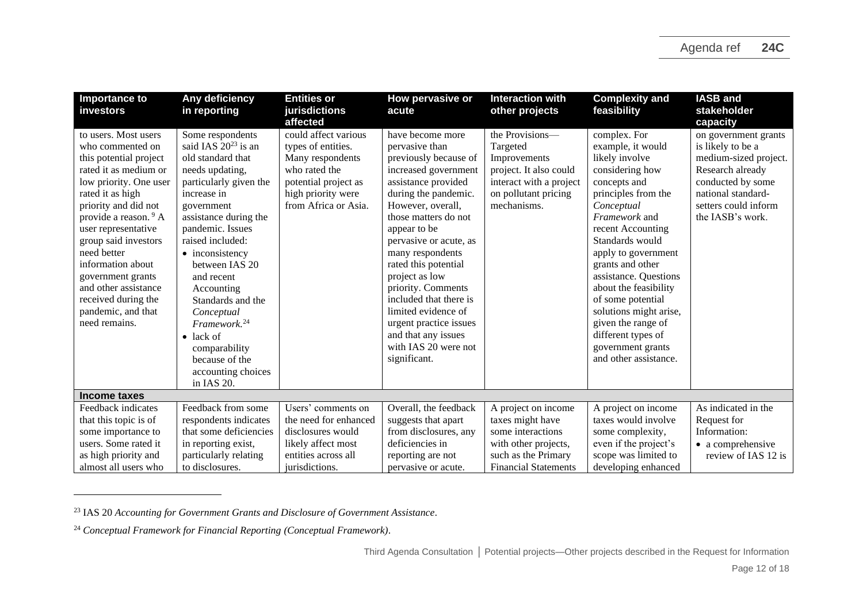| <b>Importance to</b><br>investors                                                                                                                                                                                                                                                                                                                                                                   | Any deficiency<br>in reporting                                                                                                                                                                                                                                                                                                                                                                                                           | <b>Entities or</b><br>jurisdictions                                                                                                                               | How pervasive or<br>acute                                                                                                                                                                                                                                                                                                                                                                                                                               | <b>Interaction with</b><br>other projects                                                                                               | <b>Complexity and</b><br>feasibility                                                                                                                                                                                                                                                                                                                                                                                       | <b>IASB and</b><br>stakeholder                                                                                                                                                            |
|-----------------------------------------------------------------------------------------------------------------------------------------------------------------------------------------------------------------------------------------------------------------------------------------------------------------------------------------------------------------------------------------------------|------------------------------------------------------------------------------------------------------------------------------------------------------------------------------------------------------------------------------------------------------------------------------------------------------------------------------------------------------------------------------------------------------------------------------------------|-------------------------------------------------------------------------------------------------------------------------------------------------------------------|---------------------------------------------------------------------------------------------------------------------------------------------------------------------------------------------------------------------------------------------------------------------------------------------------------------------------------------------------------------------------------------------------------------------------------------------------------|-----------------------------------------------------------------------------------------------------------------------------------------|----------------------------------------------------------------------------------------------------------------------------------------------------------------------------------------------------------------------------------------------------------------------------------------------------------------------------------------------------------------------------------------------------------------------------|-------------------------------------------------------------------------------------------------------------------------------------------------------------------------------------------|
| to users. Most users<br>who commented on<br>this potential project<br>rated it as medium or<br>low priority. One user<br>rated it as high<br>priority and did not<br>provide a reason. <sup>9</sup> A<br>user representative<br>group said investors<br>need better<br>information about<br>government grants<br>and other assistance<br>received during the<br>pandemic, and that<br>need remains. | Some respondents<br>said IAS $20^{23}$ is an<br>old standard that<br>needs updating,<br>particularly given the<br>increase in<br>government<br>assistance during the<br>pandemic. Issues<br>raised included:<br>• inconsistency<br>between IAS 20<br>and recent<br>Accounting<br>Standards and the<br>Conceptual<br>Framework. <sup>24</sup><br>$\bullet$ lack of<br>comparability<br>because of the<br>accounting choices<br>in IAS 20. | affected<br>could affect various<br>types of entities.<br>Many respondents<br>who rated the<br>potential project as<br>high priority were<br>from Africa or Asia. | have become more<br>pervasive than<br>previously because of<br>increased government<br>assistance provided<br>during the pandemic.<br>However, overall,<br>those matters do not<br>appear to be<br>pervasive or acute, as<br>many respondents<br>rated this potential<br>project as low<br>priority. Comments<br>included that there is<br>limited evidence of<br>urgent practice issues<br>and that any issues<br>with IAS 20 were not<br>significant. | the Provisions-<br>Targeted<br>Improvements<br>project. It also could<br>interact with a project<br>on pollutant pricing<br>mechanisms. | complex. For<br>example, it would<br>likely involve<br>considering how<br>concepts and<br>principles from the<br>Conceptual<br>Framework and<br>recent Accounting<br>Standards would<br>apply to government<br>grants and other<br>assistance. Questions<br>about the feasibility<br>of some potential<br>solutions might arise,<br>given the range of<br>different types of<br>government grants<br>and other assistance. | capacity<br>on government grants<br>is likely to be a<br>medium-sized project.<br>Research already<br>conducted by some<br>national standard-<br>setters could inform<br>the IASB's work. |
| <b>Income taxes</b>                                                                                                                                                                                                                                                                                                                                                                                 |                                                                                                                                                                                                                                                                                                                                                                                                                                          |                                                                                                                                                                   |                                                                                                                                                                                                                                                                                                                                                                                                                                                         |                                                                                                                                         |                                                                                                                                                                                                                                                                                                                                                                                                                            |                                                                                                                                                                                           |
| Feedback indicates<br>that this topic is of<br>some importance to<br>users. Some rated it<br>as high priority and                                                                                                                                                                                                                                                                                   | Feedback from some<br>respondents indicates<br>that some deficiencies<br>in reporting exist,<br>particularly relating                                                                                                                                                                                                                                                                                                                    | Users' comments on<br>the need for enhanced<br>disclosures would<br>likely affect most<br>entities across all                                                     | Overall, the feedback<br>suggests that apart<br>from disclosures, any<br>deficiencies in<br>reporting are not                                                                                                                                                                                                                                                                                                                                           | A project on income<br>taxes might have<br>some interactions<br>with other projects,<br>such as the Primary                             | A project on income<br>taxes would involve<br>some complexity,<br>even if the project's<br>scope was limited to                                                                                                                                                                                                                                                                                                            | As indicated in the<br>Request for<br>Information:<br>• a comprehensive<br>review of IAS 12 is                                                                                            |
| almost all users who                                                                                                                                                                                                                                                                                                                                                                                | to disclosures.                                                                                                                                                                                                                                                                                                                                                                                                                          | jurisdictions.                                                                                                                                                    | pervasive or acute.                                                                                                                                                                                                                                                                                                                                                                                                                                     | <b>Financial Statements</b>                                                                                                             | developing enhanced                                                                                                                                                                                                                                                                                                                                                                                                        |                                                                                                                                                                                           |

<sup>23</sup> IAS 20 *Accounting for Government Grants and Disclosure of Government Assistance.*

<sup>24</sup> *Conceptual Framework for Financial Reporting (Conceptual Framework)*.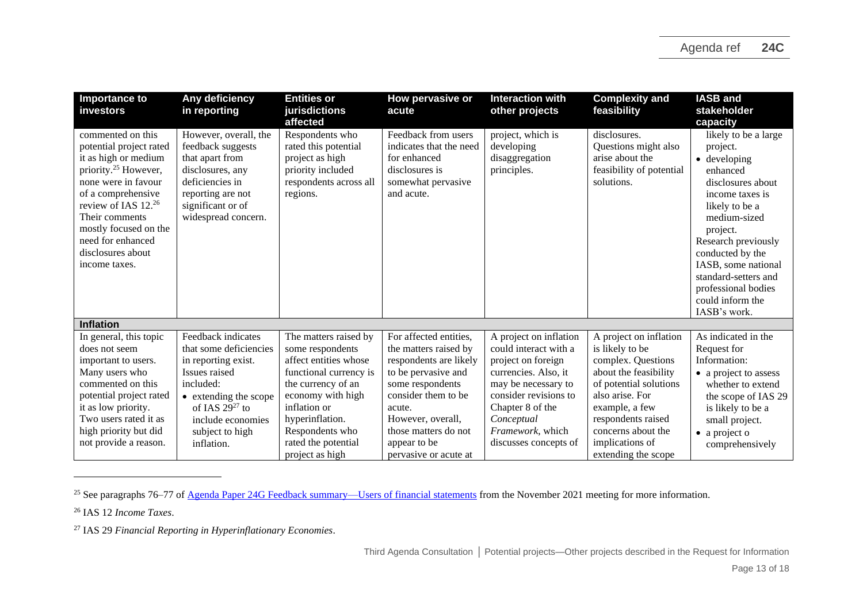| Importance to<br>investors                                                                                                                                                                                                                                                             | Any deficiency<br>in reporting                                                                                                                                                                          | <b>Entities or</b><br>jurisdictions<br>affected                                                                                                                                                                                         | How pervasive or<br>acute                                                                                                                                                                                                                   | <b>Interaction with</b><br>other projects                                                                                                                                                                                    | <b>Complexity and</b><br>feasibility                                                                                                                                                                                                          | <b>IASB and</b><br>stakeholder<br>capacity                                                                                                                                                                                                                                                                      |
|----------------------------------------------------------------------------------------------------------------------------------------------------------------------------------------------------------------------------------------------------------------------------------------|---------------------------------------------------------------------------------------------------------------------------------------------------------------------------------------------------------|-----------------------------------------------------------------------------------------------------------------------------------------------------------------------------------------------------------------------------------------|---------------------------------------------------------------------------------------------------------------------------------------------------------------------------------------------------------------------------------------------|------------------------------------------------------------------------------------------------------------------------------------------------------------------------------------------------------------------------------|-----------------------------------------------------------------------------------------------------------------------------------------------------------------------------------------------------------------------------------------------|-----------------------------------------------------------------------------------------------------------------------------------------------------------------------------------------------------------------------------------------------------------------------------------------------------------------|
| commented on this<br>potential project rated<br>it as high or medium<br>priority. <sup>25</sup> However,<br>none were in favour<br>of a comprehensive<br>review of IAS $12^{26}$<br>Their comments<br>mostly focused on the<br>need for enhanced<br>disclosures about<br>income taxes. | However, overall, the<br>feedback suggests<br>that apart from<br>disclosures, any<br>deficiencies in<br>reporting are not<br>significant or of<br>widespread concern.                                   | Respondents who<br>rated this potential<br>project as high<br>priority included<br>respondents across all<br>regions.                                                                                                                   | Feedback from users<br>indicates that the need<br>for enhanced<br>disclosures is<br>somewhat pervasive<br>and acute.                                                                                                                        | project, which is<br>developing<br>disaggregation<br>principles.                                                                                                                                                             | disclosures.<br>Questions might also<br>arise about the<br>feasibility of potential<br>solutions.                                                                                                                                             | likely to be a large<br>project.<br>$\bullet$ developing<br>enhanced<br>disclosures about<br>income taxes is<br>likely to be a<br>medium-sized<br>project.<br>Research previously<br>conducted by the<br>IASB, some national<br>standard-setters and<br>professional bodies<br>could inform the<br>IASB's work. |
| <b>Inflation</b>                                                                                                                                                                                                                                                                       |                                                                                                                                                                                                         |                                                                                                                                                                                                                                         |                                                                                                                                                                                                                                             |                                                                                                                                                                                                                              |                                                                                                                                                                                                                                               |                                                                                                                                                                                                                                                                                                                 |
| In general, this topic<br>does not seem<br>important to users.<br>Many users who<br>commented on this<br>potential project rated<br>it as low priority.<br>Two users rated it as<br>high priority but did<br>not provide a reason.                                                     | Feedback indicates<br>that some deficiencies<br>in reporting exist.<br>Issues raised<br>included:<br>• extending the scope<br>of IAS $29^{27}$ to<br>include economies<br>subject to high<br>inflation. | The matters raised by<br>some respondents<br>affect entities whose<br>functional currency is<br>the currency of an<br>economy with high<br>inflation or<br>hyperinflation.<br>Respondents who<br>rated the potential<br>project as high | For affected entities,<br>the matters raised by<br>respondents are likely<br>to be pervasive and<br>some respondents<br>consider them to be<br>acute.<br>However, overall,<br>those matters do not<br>appear to be<br>pervasive or acute at | A project on inflation<br>could interact with a<br>project on foreign<br>currencies. Also, it<br>may be necessary to<br>consider revisions to<br>Chapter 8 of the<br>Conceptual<br>Framework, which<br>discusses concepts of | A project on inflation<br>is likely to be<br>complex. Questions<br>about the feasibility<br>of potential solutions<br>also arise. For<br>example, a few<br>respondents raised<br>concerns about the<br>implications of<br>extending the scope | As indicated in the<br>Request for<br>Information:<br>• a project to assess<br>whether to extend<br>the scope of IAS 29<br>is likely to be a<br>small project.<br>$\bullet$ a project o<br>comprehensively                                                                                                      |

<sup>&</sup>lt;sup>25</sup> See paragraphs 76–77 of <u>Agenda Paper 24G Feedback summary—Users of financial statements</u> from the November 2021 meeting for more information.

<sup>26</sup> IAS 12 *Income Taxes*.

<sup>27</sup> IAS 29 *Financial Reporting in Hyperinflationary Economies*.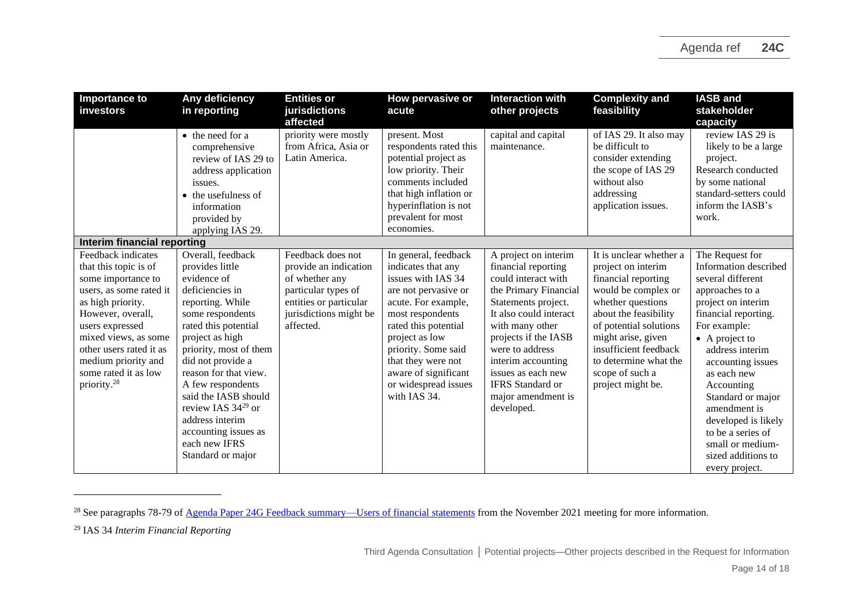| Importance to<br>investors                                                                                                                                                                                                                                                             | Any deficiency<br>in reporting                                                                                                                                                                                                                                                                                                                                                             | <b>Entities or</b><br>jurisdictions<br>affected                                                                                                      | How pervasive or<br>acute                                                                                                                                                                                                                                                                  | <b>Interaction with</b><br>other projects                                                                                                                                                                                                                                                                             | <b>Complexity and</b><br>feasibility                                                                                                                                                                                                                                                | <b>IASB</b> and<br>stakeholder<br>capacity                                                                                                                                                                                                                                                                                                                                                 |
|----------------------------------------------------------------------------------------------------------------------------------------------------------------------------------------------------------------------------------------------------------------------------------------|--------------------------------------------------------------------------------------------------------------------------------------------------------------------------------------------------------------------------------------------------------------------------------------------------------------------------------------------------------------------------------------------|------------------------------------------------------------------------------------------------------------------------------------------------------|--------------------------------------------------------------------------------------------------------------------------------------------------------------------------------------------------------------------------------------------------------------------------------------------|-----------------------------------------------------------------------------------------------------------------------------------------------------------------------------------------------------------------------------------------------------------------------------------------------------------------------|-------------------------------------------------------------------------------------------------------------------------------------------------------------------------------------------------------------------------------------------------------------------------------------|--------------------------------------------------------------------------------------------------------------------------------------------------------------------------------------------------------------------------------------------------------------------------------------------------------------------------------------------------------------------------------------------|
|                                                                                                                                                                                                                                                                                        | • the need for a<br>comprehensive<br>review of IAS 29 to<br>address application<br>issues.<br>• the usefulness of<br>information<br>provided by<br>applying IAS 29.                                                                                                                                                                                                                        | priority were mostly<br>from Africa, Asia or<br>Latin America.                                                                                       | present. Most<br>respondents rated this<br>potential project as<br>low priority. Their<br>comments included<br>that high inflation or<br>hyperinflation is not<br>prevalent for most<br>economies.                                                                                         | capital and capital<br>maintenance.                                                                                                                                                                                                                                                                                   | of IAS 29. It also may<br>be difficult to<br>consider extending<br>the scope of IAS 29<br>without also<br>addressing<br>application issues.                                                                                                                                         | review IAS 29 is<br>likely to be a large<br>project.<br>Research conducted<br>by some national<br>standard-setters could<br>inform the IASB's<br>work.                                                                                                                                                                                                                                     |
| Interim financial reporting                                                                                                                                                                                                                                                            |                                                                                                                                                                                                                                                                                                                                                                                            |                                                                                                                                                      |                                                                                                                                                                                                                                                                                            |                                                                                                                                                                                                                                                                                                                       |                                                                                                                                                                                                                                                                                     |                                                                                                                                                                                                                                                                                                                                                                                            |
| Feedback indicates<br>that this topic is of<br>some importance to<br>users, as some rated it<br>as high priority.<br>However, overall,<br>users expressed<br>mixed views, as some<br>other users rated it as<br>medium priority and<br>some rated it as low<br>priority. <sup>28</sup> | Overall, feedback<br>provides little<br>evidence of<br>deficiencies in<br>reporting. While<br>some respondents<br>rated this potential<br>project as high<br>priority, most of them<br>did not provide a<br>reason for that view.<br>A few respondents<br>said the IASB should<br>review IAS $34^{29}$ or<br>address interim<br>accounting issues as<br>each new IFRS<br>Standard or major | Feedback does not<br>provide an indication<br>of whether any<br>particular types of<br>entities or particular<br>jurisdictions might be<br>affected. | In general, feedback<br>indicates that any<br>issues with IAS 34<br>are not pervasive or<br>acute. For example,<br>most respondents<br>rated this potential<br>project as low<br>priority. Some said<br>that they were not<br>aware of significant<br>or widespread issues<br>with IAS 34. | A project on interim<br>financial reporting<br>could interact with<br>the Primary Financial<br>Statements project.<br>It also could interact<br>with many other<br>projects if the IASB<br>were to address<br>interim accounting<br>issues as each new<br><b>IFRS</b> Standard or<br>major amendment is<br>developed. | It is unclear whether a<br>project on interim<br>financial reporting<br>would be complex or<br>whether questions<br>about the feasibility<br>of potential solutions<br>might arise, given<br>insufficient feedback<br>to determine what the<br>scope of such a<br>project might be. | The Request for<br>Information described<br>several different<br>approaches to a<br>project on interim<br>financial reporting.<br>For example:<br>$\bullet$ A project to<br>address interim<br>accounting issues<br>as each new<br>Accounting<br>Standard or major<br>amendment is<br>developed is likely<br>to be a series of<br>small or medium-<br>sized additions to<br>every project. |

<sup>&</sup>lt;sup>28</sup> See paragraphs 78-79 of <u>Agenda Paper 24G Feedback summary—Users of financial statements</u> from the November 2021 meeting for more information.

<sup>29</sup> IAS 34 *Interim Financial Reporting*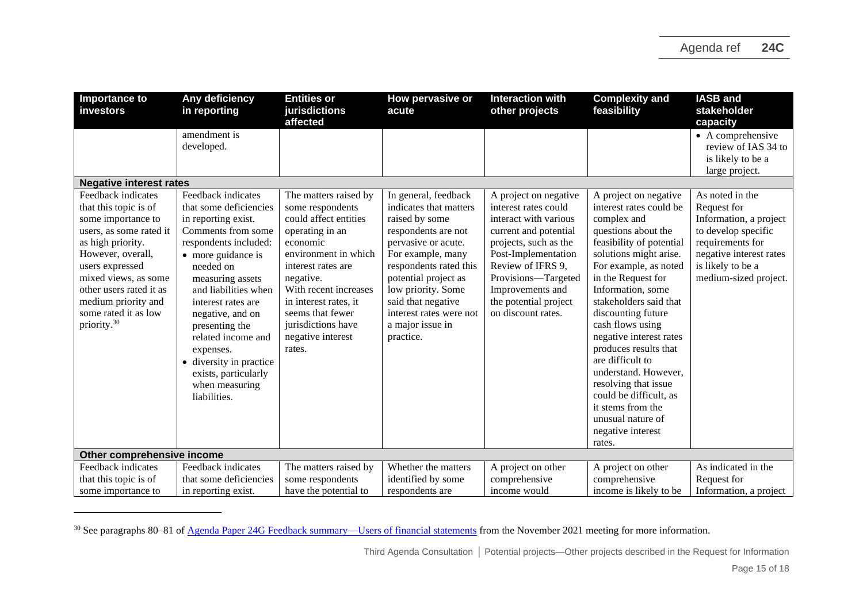| Importance to<br>investors                                                                                                                                                                                                                                                             | Any deficiency<br>in reporting                                                                                                                                                                                                                                                                                                                                                        | <b>Entities or</b><br>jurisdictions<br>affected                                                                                                                                                                                                                                         | How pervasive or<br>acute                                                                                                                                                                                                                                                                     | <b>Interaction with</b><br>other projects                                                                                                                                                                                                                      | <b>Complexity and</b><br>feasibility                                                                                                                                                                                                                                                                                                                                                                                                                                                                            | <b>IASB and</b><br>stakeholder<br>capacity                                                                                                                                   |  |
|----------------------------------------------------------------------------------------------------------------------------------------------------------------------------------------------------------------------------------------------------------------------------------------|---------------------------------------------------------------------------------------------------------------------------------------------------------------------------------------------------------------------------------------------------------------------------------------------------------------------------------------------------------------------------------------|-----------------------------------------------------------------------------------------------------------------------------------------------------------------------------------------------------------------------------------------------------------------------------------------|-----------------------------------------------------------------------------------------------------------------------------------------------------------------------------------------------------------------------------------------------------------------------------------------------|----------------------------------------------------------------------------------------------------------------------------------------------------------------------------------------------------------------------------------------------------------------|-----------------------------------------------------------------------------------------------------------------------------------------------------------------------------------------------------------------------------------------------------------------------------------------------------------------------------------------------------------------------------------------------------------------------------------------------------------------------------------------------------------------|------------------------------------------------------------------------------------------------------------------------------------------------------------------------------|--|
|                                                                                                                                                                                                                                                                                        | amendment is<br>developed.                                                                                                                                                                                                                                                                                                                                                            |                                                                                                                                                                                                                                                                                         |                                                                                                                                                                                                                                                                                               |                                                                                                                                                                                                                                                                |                                                                                                                                                                                                                                                                                                                                                                                                                                                                                                                 | $\bullet$ A comprehensive<br>review of IAS 34 to<br>is likely to be a<br>large project.                                                                                      |  |
| <b>Negative interest rates</b>                                                                                                                                                                                                                                                         |                                                                                                                                                                                                                                                                                                                                                                                       |                                                                                                                                                                                                                                                                                         |                                                                                                                                                                                                                                                                                               |                                                                                                                                                                                                                                                                |                                                                                                                                                                                                                                                                                                                                                                                                                                                                                                                 |                                                                                                                                                                              |  |
| Feedback indicates<br>that this topic is of<br>some importance to<br>users, as some rated it<br>as high priority.<br>However, overall,<br>users expressed<br>mixed views, as some<br>other users rated it as<br>medium priority and<br>some rated it as low<br>priority. <sup>30</sup> | Feedback indicates<br>that some deficiencies<br>in reporting exist.<br>Comments from some<br>respondents included:<br>• more guidance is<br>needed on<br>measuring assets<br>and liabilities when<br>interest rates are<br>negative, and on<br>presenting the<br>related income and<br>expenses.<br>• diversity in practice<br>exists, particularly<br>when measuring<br>liabilities. | The matters raised by<br>some respondents<br>could affect entities<br>operating in an<br>economic<br>environment in which<br>interest rates are<br>negative.<br>With recent increases<br>in interest rates, it<br>seems that fewer<br>jurisdictions have<br>negative interest<br>rates. | In general, feedback<br>indicates that matters<br>raised by some<br>respondents are not<br>pervasive or acute.<br>For example, many<br>respondents rated this<br>potential project as<br>low priority. Some<br>said that negative<br>interest rates were not<br>a major issue in<br>practice. | A project on negative<br>interest rates could<br>interact with various<br>current and potential<br>projects, such as the<br>Post-Implementation<br>Review of IFRS 9,<br>Provisions-Targeted<br>Improvements and<br>the potential project<br>on discount rates. | A project on negative<br>interest rates could be<br>complex and<br>questions about the<br>feasibility of potential<br>solutions might arise.<br>For example, as noted<br>in the Request for<br>Information, some<br>stakeholders said that<br>discounting future<br>cash flows using<br>negative interest rates<br>produces results that<br>are difficult to<br>understand. However,<br>resolving that issue<br>could be difficult, as<br>it stems from the<br>unusual nature of<br>negative interest<br>rates. | As noted in the<br>Request for<br>Information, a project<br>to develop specific<br>requirements for<br>negative interest rates<br>is likely to be a<br>medium-sized project. |  |
| Other comprehensive income                                                                                                                                                                                                                                                             |                                                                                                                                                                                                                                                                                                                                                                                       |                                                                                                                                                                                                                                                                                         |                                                                                                                                                                                                                                                                                               |                                                                                                                                                                                                                                                                |                                                                                                                                                                                                                                                                                                                                                                                                                                                                                                                 |                                                                                                                                                                              |  |
| Feedback indicates                                                                                                                                                                                                                                                                     | Feedback indicates                                                                                                                                                                                                                                                                                                                                                                    | The matters raised by                                                                                                                                                                                                                                                                   | Whether the matters                                                                                                                                                                                                                                                                           | A project on other                                                                                                                                                                                                                                             | A project on other                                                                                                                                                                                                                                                                                                                                                                                                                                                                                              | As indicated in the                                                                                                                                                          |  |
| that this topic is of                                                                                                                                                                                                                                                                  | that some deficiencies                                                                                                                                                                                                                                                                                                                                                                | some respondents                                                                                                                                                                                                                                                                        | identified by some                                                                                                                                                                                                                                                                            | comprehensive                                                                                                                                                                                                                                                  | comprehensive                                                                                                                                                                                                                                                                                                                                                                                                                                                                                                   | Request for                                                                                                                                                                  |  |
| some importance to                                                                                                                                                                                                                                                                     | in reporting exist.                                                                                                                                                                                                                                                                                                                                                                   | have the potential to                                                                                                                                                                                                                                                                   | respondents are                                                                                                                                                                                                                                                                               | income would                                                                                                                                                                                                                                                   | income is likely to be                                                                                                                                                                                                                                                                                                                                                                                                                                                                                          | Information, a project                                                                                                                                                       |  |

<sup>&</sup>lt;sup>30</sup> See paragraphs 80–81 of <u>Agenda Paper 24G Feedback summary—Users of financial statements</u> from the November 2021 meeting for more information.

Third Agenda Consultation **│** Potential projects—Other projects described in the Request for Information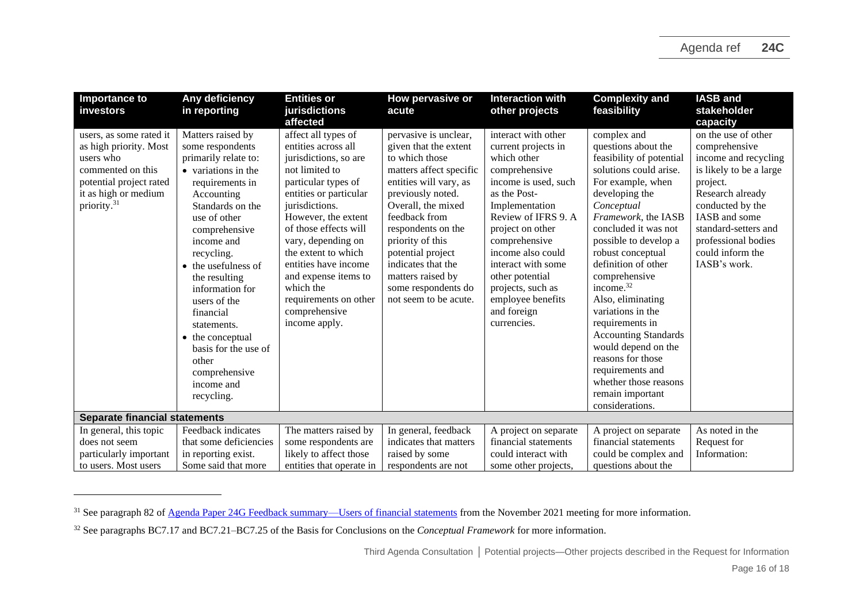| Importance to<br>investors                                                                                                                                        | Any deficiency<br>in reporting                                                                                                                                                                                                                                                                                                                                                                                  | <b>Entities or</b><br>jurisdictions                                                                                                                                                                                                                                                                                                                                           | How pervasive or<br>acute                                                                                                                                                                                                                                                                                                                   | <b>Interaction with</b><br>other projects                                                                                                                                                                                                                                                                                              | <b>Complexity and</b><br>feasibility                                                                                                                                                                                                                                                                                                                                                                                                                                                                                           | <b>IASB and</b><br>stakeholder                                                                                                                                                                                                                  |  |
|-------------------------------------------------------------------------------------------------------------------------------------------------------------------|-----------------------------------------------------------------------------------------------------------------------------------------------------------------------------------------------------------------------------------------------------------------------------------------------------------------------------------------------------------------------------------------------------------------|-------------------------------------------------------------------------------------------------------------------------------------------------------------------------------------------------------------------------------------------------------------------------------------------------------------------------------------------------------------------------------|---------------------------------------------------------------------------------------------------------------------------------------------------------------------------------------------------------------------------------------------------------------------------------------------------------------------------------------------|----------------------------------------------------------------------------------------------------------------------------------------------------------------------------------------------------------------------------------------------------------------------------------------------------------------------------------------|--------------------------------------------------------------------------------------------------------------------------------------------------------------------------------------------------------------------------------------------------------------------------------------------------------------------------------------------------------------------------------------------------------------------------------------------------------------------------------------------------------------------------------|-------------------------------------------------------------------------------------------------------------------------------------------------------------------------------------------------------------------------------------------------|--|
|                                                                                                                                                                   |                                                                                                                                                                                                                                                                                                                                                                                                                 | affected                                                                                                                                                                                                                                                                                                                                                                      |                                                                                                                                                                                                                                                                                                                                             |                                                                                                                                                                                                                                                                                                                                        |                                                                                                                                                                                                                                                                                                                                                                                                                                                                                                                                | capacity                                                                                                                                                                                                                                        |  |
| users, as some rated it<br>as high priority. Most<br>users who<br>commented on this<br>potential project rated<br>it as high or medium<br>priority. <sup>31</sup> | Matters raised by<br>some respondents<br>primarily relate to:<br>• variations in the<br>requirements in<br>Accounting<br>Standards on the<br>use of other<br>comprehensive<br>income and<br>recycling.<br>• the usefulness of<br>the resulting<br>information for<br>users of the<br>financial<br>statements.<br>• the conceptual<br>basis for the use of<br>other<br>comprehensive<br>income and<br>recycling. | affect all types of<br>entities across all<br>jurisdictions, so are<br>not limited to<br>particular types of<br>entities or particular<br>jurisdictions.<br>However, the extent<br>of those effects will<br>vary, depending on<br>the extent to which<br>entities have income<br>and expense items to<br>which the<br>requirements on other<br>comprehensive<br>income apply. | pervasive is unclear,<br>given that the extent<br>to which those<br>matters affect specific<br>entities will vary, as<br>previously noted.<br>Overall, the mixed<br>feedback from<br>respondents on the<br>priority of this<br>potential project<br>indicates that the<br>matters raised by<br>some respondents do<br>not seem to be acute. | interact with other<br>current projects in<br>which other<br>comprehensive<br>income is used, such<br>as the Post-<br>Implementation<br>Review of IFRS 9. A<br>project on other<br>comprehensive<br>income also could<br>interact with some<br>other potential<br>projects, such as<br>employee benefits<br>and foreign<br>currencies. | complex and<br>questions about the<br>feasibility of potential<br>solutions could arise.<br>For example, when<br>developing the<br>Conceptual<br>Framework, the IASB<br>concluded it was not<br>possible to develop a<br>robust conceptual<br>definition of other<br>comprehensive<br>income. $32$<br>Also, eliminating<br>variations in the<br>requirements in<br><b>Accounting Standards</b><br>would depend on the<br>reasons for those<br>requirements and<br>whether those reasons<br>remain important<br>considerations. | on the use of other<br>comprehensive<br>income and recycling<br>is likely to be a large<br>project.<br>Research already<br>conducted by the<br>IASB and some<br>standard-setters and<br>professional bodies<br>could inform the<br>IASB's work. |  |
| <b>Separate financial statements</b>                                                                                                                              |                                                                                                                                                                                                                                                                                                                                                                                                                 |                                                                                                                                                                                                                                                                                                                                                                               |                                                                                                                                                                                                                                                                                                                                             |                                                                                                                                                                                                                                                                                                                                        |                                                                                                                                                                                                                                                                                                                                                                                                                                                                                                                                |                                                                                                                                                                                                                                                 |  |
| In general, this topic                                                                                                                                            | Feedback indicates                                                                                                                                                                                                                                                                                                                                                                                              | The matters raised by                                                                                                                                                                                                                                                                                                                                                         | In general, feedback                                                                                                                                                                                                                                                                                                                        | A project on separate                                                                                                                                                                                                                                                                                                                  | A project on separate                                                                                                                                                                                                                                                                                                                                                                                                                                                                                                          | As noted in the                                                                                                                                                                                                                                 |  |
| does not seem                                                                                                                                                     | that some deficiencies                                                                                                                                                                                                                                                                                                                                                                                          | some respondents are                                                                                                                                                                                                                                                                                                                                                          | indicates that matters                                                                                                                                                                                                                                                                                                                      | financial statements                                                                                                                                                                                                                                                                                                                   | financial statements                                                                                                                                                                                                                                                                                                                                                                                                                                                                                                           | Request for                                                                                                                                                                                                                                     |  |
| particularly important                                                                                                                                            | in reporting exist.                                                                                                                                                                                                                                                                                                                                                                                             | likely to affect those                                                                                                                                                                                                                                                                                                                                                        | raised by some                                                                                                                                                                                                                                                                                                                              | could interact with                                                                                                                                                                                                                                                                                                                    | could be complex and                                                                                                                                                                                                                                                                                                                                                                                                                                                                                                           | Information:                                                                                                                                                                                                                                    |  |
| to users. Most users                                                                                                                                              | Some said that more                                                                                                                                                                                                                                                                                                                                                                                             | entities that operate in                                                                                                                                                                                                                                                                                                                                                      | respondents are not                                                                                                                                                                                                                                                                                                                         | some other projects.                                                                                                                                                                                                                                                                                                                   | questions about the                                                                                                                                                                                                                                                                                                                                                                                                                                                                                                            |                                                                                                                                                                                                                                                 |  |

<sup>&</sup>lt;sup>31</sup> See paragraph 82 o[f Agenda Paper 24G Feedback summary—Users of financial statements](https://www.ifrs.org/content/dam/ifrs/meetings/2021/november/iasb/ap24g-third-agenda-consultation-feedback-summary-users-of-financial-statements.pdf) from the November 2021 meeting for more information.

<sup>32</sup> See paragraphs BC7.17 and BC7.21–BC7.25 of the Basis for Conclusions on the *Conceptual Framework* for more information.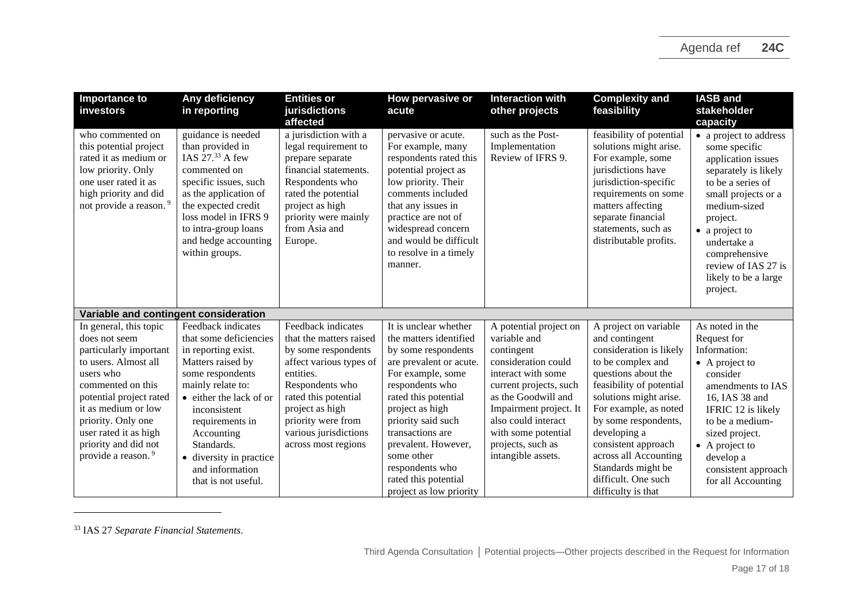| <b>Importance to</b><br>investors                                                                                                                                                                                                                                                      | Any deficiency<br>in reporting                                                                                                                                                                                                                                                                   | <b>Entities or</b><br>jurisdictions<br>affected                                                                                                                                                                                                  | How pervasive or<br>acute                                                                                                                                                                                                                                                                                                                 | <b>Interaction with</b><br>other projects                                                                                                                                                                                                                             | <b>Complexity and</b><br>feasibility                                                                                                                                                                                                                                                                                                                     | <b>IASB and</b><br>stakeholder<br>capacity                                                                                                                                                                                                                                 |  |
|----------------------------------------------------------------------------------------------------------------------------------------------------------------------------------------------------------------------------------------------------------------------------------------|--------------------------------------------------------------------------------------------------------------------------------------------------------------------------------------------------------------------------------------------------------------------------------------------------|--------------------------------------------------------------------------------------------------------------------------------------------------------------------------------------------------------------------------------------------------|-------------------------------------------------------------------------------------------------------------------------------------------------------------------------------------------------------------------------------------------------------------------------------------------------------------------------------------------|-----------------------------------------------------------------------------------------------------------------------------------------------------------------------------------------------------------------------------------------------------------------------|----------------------------------------------------------------------------------------------------------------------------------------------------------------------------------------------------------------------------------------------------------------------------------------------------------------------------------------------------------|----------------------------------------------------------------------------------------------------------------------------------------------------------------------------------------------------------------------------------------------------------------------------|--|
| who commented on<br>this potential project<br>rated it as medium or<br>low priority. Only<br>one user rated it as<br>high priority and did<br>not provide a reason. <sup>9</sup>                                                                                                       | guidance is needed<br>than provided in<br>IAS $2733$ A few<br>commented on<br>specific issues, such<br>as the application of<br>the expected credit<br>loss model in IFRS 9<br>to intra-group loans<br>and hedge accounting<br>within groups.                                                    | a jurisdiction with a<br>legal requirement to<br>prepare separate<br>financial statements.<br>Respondents who<br>rated the potential<br>project as high<br>priority were mainly<br>from Asia and<br>Europe.                                      | pervasive or acute.<br>For example, many<br>respondents rated this<br>potential project as<br>low priority. Their<br>comments included<br>that any issues in<br>practice are not of<br>widespread concern<br>and would be difficult<br>to resolve in a timely<br>manner.                                                                  | such as the Post-<br>Implementation<br>Review of IFRS 9.                                                                                                                                                                                                              | feasibility of potential<br>solutions might arise.<br>For example, some<br>jurisdictions have<br>jurisdiction-specific<br>requirements on some<br>matters affecting<br>separate financial<br>statements, such as<br>distributable profits.                                                                                                               | • a project to address<br>some specific<br>application issues<br>separately is likely<br>to be a series of<br>small projects or a<br>medium-sized<br>project.<br>• a project to<br>undertake a<br>comprehensive<br>review of IAS 27 is<br>likely to be a large<br>project. |  |
| Variable and contingent consideration                                                                                                                                                                                                                                                  |                                                                                                                                                                                                                                                                                                  |                                                                                                                                                                                                                                                  |                                                                                                                                                                                                                                                                                                                                           |                                                                                                                                                                                                                                                                       |                                                                                                                                                                                                                                                                                                                                                          |                                                                                                                                                                                                                                                                            |  |
| In general, this topic<br>does not seem<br>particularly important<br>to users. Almost all<br>users who<br>commented on this<br>potential project rated<br>it as medium or low<br>priority. Only one<br>user rated it as high<br>priority and did not<br>provide a reason. <sup>9</sup> | Feedback indicates<br>that some deficiencies<br>in reporting exist.<br>Matters raised by<br>some respondents<br>mainly relate to:<br>• either the lack of or<br>inconsistent<br>requirements in<br>Accounting<br>Standards.<br>• diversity in practice<br>and information<br>that is not useful. | Feedback indicates<br>that the matters raised<br>by some respondents<br>affect various types of<br>entities.<br>Respondents who<br>rated this potential<br>project as high<br>priority were from<br>various jurisdictions<br>across most regions | It is unclear whether<br>the matters identified<br>by some respondents<br>are prevalent or acute.<br>For example, some<br>respondents who<br>rated this potential<br>project as high<br>priority said such<br>transactions are<br>prevalent. However,<br>some other<br>respondents who<br>rated this potential<br>project as low priority | A potential project on<br>variable and<br>contingent<br>consideration could<br>interact with some<br>current projects, such<br>as the Goodwill and<br>Impairment project. It<br>also could interact<br>with some potential<br>projects, such as<br>intangible assets. | A project on variable<br>and contingent<br>consideration is likely<br>to be complex and<br>questions about the<br>feasibility of potential<br>solutions might arise.<br>For example, as noted<br>by some respondents,<br>developing a<br>consistent approach<br>across all Accounting<br>Standards might be<br>difficult. One such<br>difficulty is that | As noted in the<br>Request for<br>Information:<br>$\bullet$ A project to<br>consider<br>amendments to IAS<br>16, IAS 38 and<br>IFRIC 12 is likely<br>to be a medium-<br>sized project.<br>$\bullet$ A project to<br>develop a<br>consistent approach<br>for all Accounting |  |

<sup>33</sup> IAS 27 *Separate Financial Statements*.